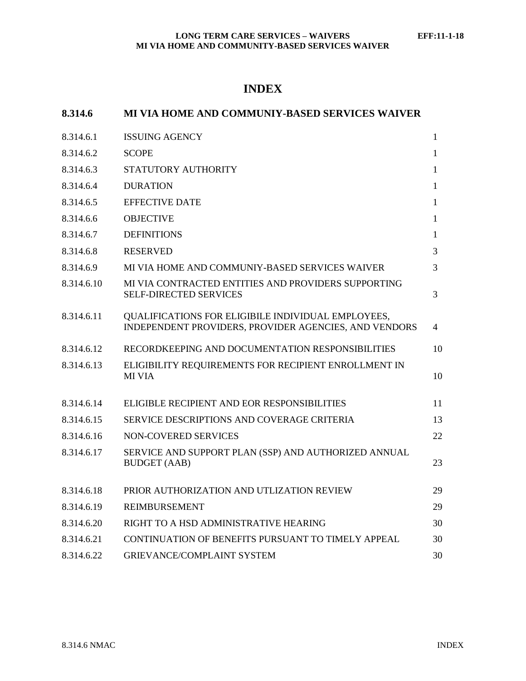# **INDEX**

| 8.314.6    | MI VIA HOME AND COMMUNIY-BASED SERVICES WAIVER                                                                     |              |
|------------|--------------------------------------------------------------------------------------------------------------------|--------------|
| 8.314.6.1  | <b>ISSUING AGENCY</b>                                                                                              | $\mathbf{1}$ |
| 8.314.6.2  | <b>SCOPE</b>                                                                                                       | 1            |
| 8.314.6.3  | STATUTORY AUTHORITY                                                                                                | $\mathbf{1}$ |
| 8.314.6.4  | <b>DURATION</b>                                                                                                    | $\mathbf{1}$ |
| 8.314.6.5  | <b>EFFECTIVE DATE</b>                                                                                              | 1            |
| 8.314.6.6  | <b>OBJECTIVE</b>                                                                                                   | 1            |
| 8.314.6.7  | <b>DEFINITIONS</b>                                                                                                 | $\mathbf{1}$ |
| 8.314.6.8  | <b>RESERVED</b>                                                                                                    | 3            |
| 8.314.6.9  | MI VIA HOME AND COMMUNIY-BASED SERVICES WAIVER                                                                     | 3            |
| 8.314.6.10 | MI VIA CONTRACTED ENTITIES AND PROVIDERS SUPPORTING<br><b>SELF-DIRECTED SERVICES</b>                               | 3            |
| 8.314.6.11 | <b>QUALIFICATIONS FOR ELIGIBILE INDIVIDUAL EMPLOYEES,</b><br>INDEPENDENT PROVIDERS, PROVIDER AGENCIES, AND VENDORS | 4            |
| 8.314.6.12 | RECORDKEEPING AND DOCUMENTATION RESPONSIBILITIES                                                                   | 10           |
| 8.314.6.13 | ELIGIBILITY REQUIREMENTS FOR RECIPIENT ENROLLMENT IN<br><b>MI VIA</b>                                              | 10           |
| 8.314.6.14 | ELIGIBLE RECIPIENT AND EOR RESPONSIBILITIES                                                                        | 11           |
| 8.314.6.15 | SERVICE DESCRIPTIONS AND COVERAGE CRITERIA                                                                         | 13           |
| 8.314.6.16 | NON-COVERED SERVICES                                                                                               | 22           |
| 8.314.6.17 | SERVICE AND SUPPORT PLAN (SSP) AND AUTHORIZED ANNUAL<br><b>BUDGET</b> (AAB)                                        | 23           |
| 8.314.6.18 | PRIOR AUTHORIZATION AND UTLIZATION REVIEW                                                                          | 29           |
| 8.314.6.19 | <b>REIMBURSEMENT</b>                                                                                               | 29           |
| 8.314.6.20 | RIGHT TO A HSD ADMINISTRATIVE HEARING                                                                              | 30           |
| 8.314.6.21 | CONTINUATION OF BENEFITS PURSUANT TO TIMELY APPEAL                                                                 | 30           |
| 8.314.6.22 | GRIEVANCE/COMPLAINT SYSTEM                                                                                         | 30           |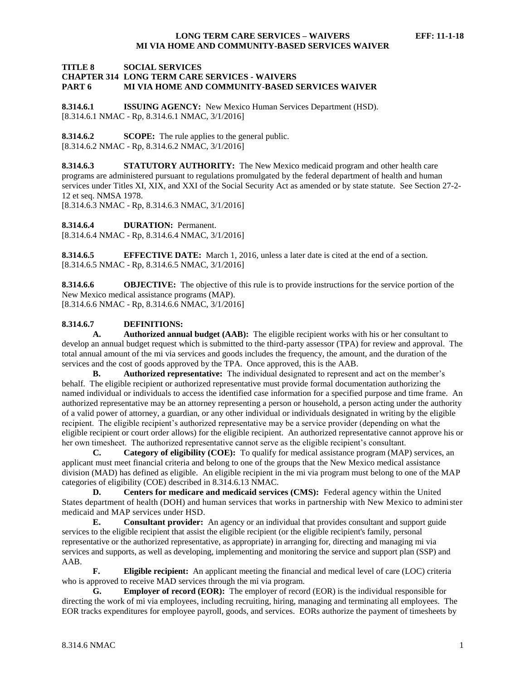#### **TITLE 8 SOCIAL SERVICES CHAPTER 314 LONG TERM CARE SERVICES - WAIVERS PART 6 MI VIA HOME AND COMMUNITY-BASED SERVICES WAIVER**

<span id="page-1-0"></span>**8.314.6.1 ISSUING AGENCY:** New Mexico Human Services Department (HSD). [8.314.6.1 NMAC - Rp, 8.314.6.1 NMAC, 3/1/2016]

<span id="page-1-1"></span>**8.314.6.2 SCOPE:** The rule applies to the general public. [8.314.6.2 NMAC - Rp, 8.314.6.2 NMAC, 3/1/2016]

<span id="page-1-2"></span>**8.314.6.3 STATUTORY AUTHORITY:** The New Mexico medicaid program and other health care programs are administered pursuant to regulations promulgated by the federal department of health and human services under Titles XI, XIX, and XXI of the Social Security Act as amended or by state statute. See Section 27-2- 12 et seq. NMSA 1978.

[8.314.6.3 NMAC - Rp, 8.314.6.3 NMAC, 3/1/2016]

<span id="page-1-3"></span>**8.314.6.4 DURATION:** Permanent.

[8.314.6.4 NMAC - Rp, 8.314.6.4 NMAC, 3/1/2016]

<span id="page-1-4"></span>**8.314.6.5 EFFECTIVE DATE:** March 1, 2016, unless a later date is cited at the end of a section. [8.314.6.5 NMAC - Rp, 8.314.6.5 NMAC, 3/1/2016]

<span id="page-1-5"></span>**8.314.6.6 OBJECTIVE:** The objective of this rule is to provide instructions for the service portion of the New Mexico medical assistance programs (MAP). [8.314.6.6 NMAC - Rp, 8.314.6.6 NMAC, 3/1/2016]

# <span id="page-1-6"></span>**8.314.6.7 DEFINITIONS:**

**A. Authorized annual budget (AAB):** The eligible recipient works with his or her consultant to develop an annual budget request which is submitted to the third-party assessor (TPA) for review and approval. The total annual amount of the mi via services and goods includes the frequency, the amount, and the duration of the services and the cost of goods approved by the TPA. Once approved, this is the AAB.

**B. Authorized representative:** The individual designated to represent and act on the member's behalf. The eligible recipient or authorized representative must provide formal documentation authorizing the named individual or individuals to access the identified case information for a specified purpose and time frame. An authorized representative may be an attorney representing a person or household, a person acting under the authority of a valid power of attorney, a guardian, or any other individual or individuals designated in writing by the eligible recipient. The eligible recipient's authorized representative may be a service provider (depending on what the eligible recipient or court order allows) for the eligible recipient. An authorized representative cannot approve his or her own timesheet. The authorized representative cannot serve as the eligible recipient's consultant.

**C. Category of eligibility (COE):** To qualify for medical assistance program (MAP) services, an applicant must meet financial criteria and belong to one of the groups that the New Mexico medical assistance division (MAD) has defined as eligible. An eligible recipient in the mi via program must belong to one of the MAP categories of eligibility (COE) described in 8.314.6.13 NMAC.

**D. Centers for medicare and medicaid services (CMS):** Federal agency within the United States department of health (DOH) and human services that works in partnership with New Mexico to administer medicaid and MAP services under HSD.

**E. Consultant provider:** An agency or an individual that provides consultant and support guide services to the eligible recipient that assist the eligible recipient (or the eligible recipient's family, personal representative or the authorized representative, as appropriate) in arranging for, directing and managing mi via services and supports, as well as developing, implementing and monitoring the service and support plan (SSP) and AAB.

**F. Eligible recipient:** An applicant meeting the financial and medical level of care (LOC) criteria who is approved to receive MAD services through the mi via program.

**G. Employer of record (EOR):** The employer of record (EOR) is the individual responsible for directing the work of mi via employees, including recruiting, hiring, managing and terminating all employees. The EOR tracks expenditures for employee payroll, goods, and services. EORs authorize the payment of timesheets by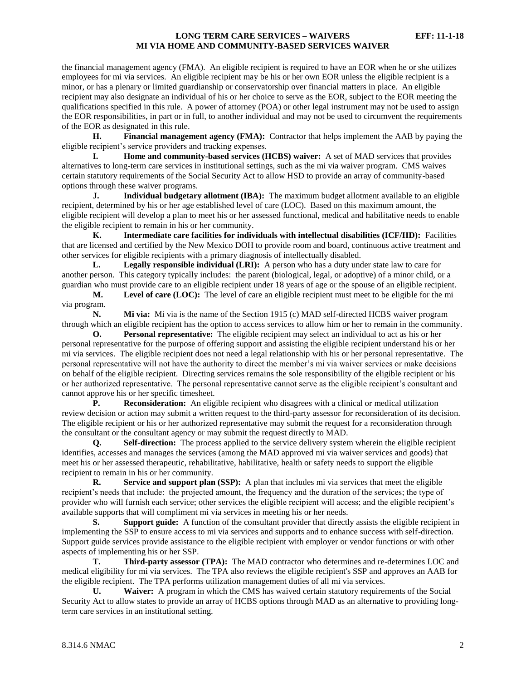the financial management agency (FMA). An eligible recipient is required to have an EOR when he or she utilizes employees for mi via services. An eligible recipient may be his or her own EOR unless the eligible recipient is a minor, or has a plenary or limited guardianship or conservatorship over financial matters in place. An eligible recipient may also designate an individual of his or her choice to serve as the EOR, subject to the EOR meeting the qualifications specified in this rule. A power of attorney (POA) or other legal instrument may not be used to assign the EOR responsibilities, in part or in full, to another individual and may not be used to circumvent the requirements of the EOR as designated in this rule.

**H. Financial management agency (FMA):** Contractor that helps implement the AAB by paying the eligible recipient's service providers and tracking expenses.

**I. Home and community-based services (HCBS) waiver:** A set of MAD services that provides alternatives to long-term care services in institutional settings, such as the mi via waiver program. CMS waives certain statutory requirements of the Social Security Act to allow HSD to provide an array of community-based options through these waiver programs.

**J. Individual budgetary allotment (IBA):** The maximum budget allotment available to an eligible recipient, determined by his or her age established level of care (LOC). Based on this maximum amount, the eligible recipient will develop a plan to meet his or her assessed functional, medical and habilitative needs to enable the eligible recipient to remain in his or her community.

**K. Intermediate care facilities for individuals with intellectual disabilities (ICF/IID):** Facilities that are licensed and certified by the New Mexico DOH to provide room and board, continuous active treatment and other services for eligible recipients with a primary diagnosis of intellectually disabled.

**L. Legally responsible individual (LRI):** A person who has a duty under state law to care for another person. This category typically includes: the parent (biological, legal, or adoptive) of a minor child, or a guardian who must provide care to an eligible recipient under 18 years of age or the spouse of an eligible recipient.

**M. Level of care (LOC):** The level of care an eligible recipient must meet to be eligible for the mi via program.

**N. Mi via:** Mi via is the name of the Section 1915 (c) MAD self-directed HCBS waiver program through which an eligible recipient has the option to access services to allow him or her to remain in the community.

**O. Personal representative:** The eligible recipient may select an individual to act as his or her personal representative for the purpose of offering support and assisting the eligible recipient understand his or her mi via services. The eligible recipient does not need a legal relationship with his or her personal representative. The personal representative will not have the authority to direct the member's mi via waiver services or make decisions on behalf of the eligible recipient. Directing services remains the sole responsibility of the eligible recipient or his or her authorized representative. The personal representative cannot serve as the eligible recipient's consultant and cannot approve his or her specific timesheet.

**P. Reconsideration:** An eligible recipient who disagrees with a clinical or medical utilization review decision or action may submit a written request to the third-party assessor for reconsideration of its decision. The eligible recipient or his or her authorized representative may submit the request for a reconsideration through the consultant or the consultant agency or may submit the request directly to MAD.

**Q. Self-direction:** The process applied to the service delivery system wherein the eligible recipient identifies, accesses and manages the services (among the MAD approved mi via waiver services and goods) that meet his or her assessed therapeutic, rehabilitative, habilitative, health or safety needs to support the eligible recipient to remain in his or her community.

**R.** Service and support plan (SSP): A plan that includes mi via services that meet the eligible recipient's needs that include: the projected amount, the frequency and the duration of the services; the type of provider who will furnish each service; other services the eligible recipient will access; and the eligible recipient's available supports that will compliment mi via services in meeting his or her needs.

**S. Support guide:** A function of the consultant provider that directly assists the eligible recipient in implementing the SSP to ensure access to mi via services and supports and to enhance success with self-direction. Support guide services provide assistance to the eligible recipient with employer or vendor functions or with other aspects of implementing his or her SSP.

**T. Third-party assessor (TPA):** The MAD contractor who determines and re-determines LOC and medical eligibility for mi via services. The TPA also reviews the eligible recipient's SSP and approves an AAB for the eligible recipient. The TPA performs utilization management duties of all mi via services.

**U. Waiver:** A program in which the CMS has waived certain statutory requirements of the Social Security Act to allow states to provide an array of HCBS options through MAD as an alternative to providing longterm care services in an institutional setting.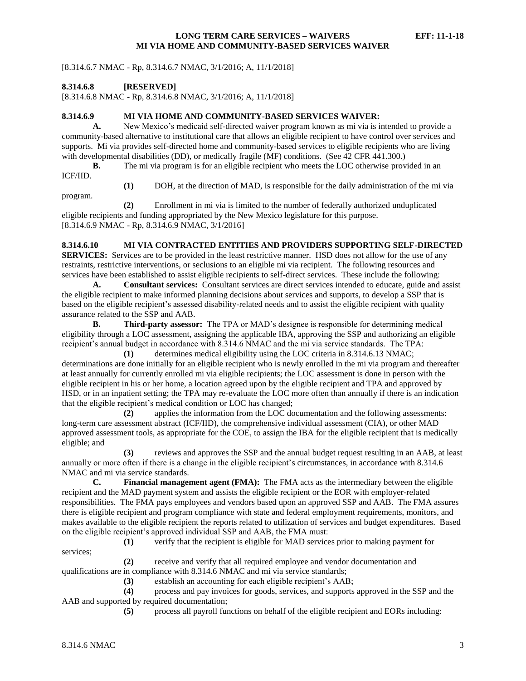[8.314.6.7 NMAC - Rp, 8.314.6.7 NMAC, 3/1/2016; A, 11/1/2018]

<span id="page-3-0"></span>**8.314.6.8 [RESERVED]**

[8.314.6.8 NMAC - Rp, 8.314.6.8 NMAC, 3/1/2016; A, 11/1/2018]

#### <span id="page-3-1"></span>**8.314.6.9 MI VIA HOME AND COMMUNITY-BASED SERVICES WAIVER:**

**A.** New Mexico's medicaid self-directed waiver program known as mi via is intended to provide a community-based alternative to institutional care that allows an eligible recipient to have control over services and supports. Mi via provides self-directed home and community-based services to eligible recipients who are living with developmental disabilities (DD), or medically fragile (MF) conditions. (See 42 CFR 441.300.)

**B.** The mi via program is for an eligible recipient who meets the LOC otherwise provided in an ICF/IID.

program.

**(1)** DOH, at the direction of MAD, is responsible for the daily administration of the mi via

**(2)** Enrollment in mi via is limited to the number of federally authorized unduplicated eligible recipients and funding appropriated by the New Mexico legislature for this purpose. [8.314.6.9 NMAC - Rp, 8.314.6.9 NMAC, 3/1/2016]

<span id="page-3-2"></span>**8.314.6.10 MI VIA CONTRACTED ENTITIES AND PROVIDERS SUPPORTING SELF-DIRECTED SERVICES:** Services are to be provided in the least restrictive manner. HSD does not allow for the use of any restraints, restrictive interventions, or seclusions to an eligible mi via recipient. The following resources and services have been established to assist eligible recipients to self-direct services. These include the following:

**A. Consultant services:** Consultant services are direct services intended to educate, guide and assist the eligible recipient to make informed planning decisions about services and supports, to develop a SSP that is based on the eligible recipient's assessed disability-related needs and to assist the eligible recipient with quality assurance related to the SSP and AAB.

**B. Third-party assessor:** The TPA or MAD's designee is responsible for determining medical eligibility through a LOC assessment, assigning the applicable IBA, approving the SSP and authorizing an eligible recipient's annual budget in accordance with 8.314.6 NMAC and the mi via service standards. The TPA:

**(1)** determines medical eligibility using the LOC criteria in 8.314.6.13 NMAC; determinations are done initially for an eligible recipient who is newly enrolled in the mi via program and thereafter at least annually for currently enrolled mi via eligible recipients; the LOC assessment is done in person with the eligible recipient in his or her home, a location agreed upon by the eligible recipient and TPA and approved by HSD, or in an inpatient setting; the TPA may re-evaluate the LOC more often than annually if there is an indication that the eligible recipient's medical condition or LOC has changed;

**(2)** applies the information from the LOC documentation and the following assessments: long-term care assessment abstract (ICF/IID), the comprehensive individual assessment (CIA), or other MAD approved assessment tools, as appropriate for the COE, to assign the IBA for the eligible recipient that is medically eligible; and

**(3)** reviews and approves the SSP and the annual budget request resulting in an AAB, at least annually or more often if there is a change in the eligible recipient's circumstances, in accordance with 8.314.6 NMAC and mi via service standards.

**C. Financial management agent (FMA):** The FMA acts as the intermediary between the eligible recipient and the MAD payment system and assists the eligible recipient or the EOR with employer-related responsibilities. The FMA pays employees and vendors based upon an approved SSP and AAB. The FMA assures there is eligible recipient and program compliance with state and federal employment requirements, monitors, and makes available to the eligible recipient the reports related to utilization of services and budget expenditures. Based on the eligible recipient's approved individual SSP and AAB, the FMA must:

**(1)** verify that the recipient is eligible for MAD services prior to making payment for

**(2)** receive and verify that all required employee and vendor documentation and qualifications are in compliance with 8.314.6 NMAC and mi via service standards;

**(3)** establish an accounting for each eligible recipient's AAB;

**(4)** process and pay invoices for goods, services, and supports approved in the SSP and the AAB and supported by required documentation;

**(5)** process all payroll functions on behalf of the eligible recipient and EORs including:

services;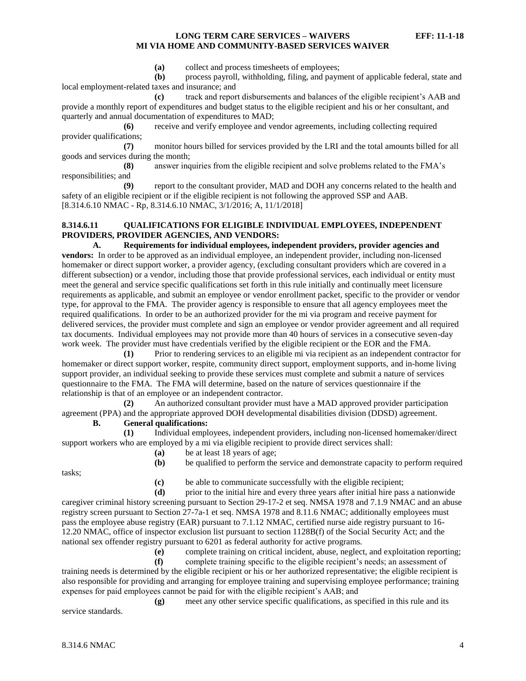**(a)** collect and process timesheets of employees;

**(b)** process payroll, withholding, filing, and payment of applicable federal, state and local employment-related taxes and insurance; and

**(c)** track and report disbursements and balances of the eligible recipient's AAB and provide a monthly report of expenditures and budget status to the eligible recipient and his or her consultant, and quarterly and annual documentation of expenditures to MAD;

**(6)** receive and verify employee and vendor agreements, including collecting required provider qualifications;

**(7)** monitor hours billed for services provided by the LRI and the total amounts billed for all goods and services during the month;

**(8)** answer inquiries from the eligible recipient and solve problems related to the FMA's responsibilities; and

**(9)** report to the consultant provider, MAD and DOH any concerns related to the health and safety of an eligible recipient or if the eligible recipient is not following the approved SSP and AAB. [8.314.6.10 NMAC - Rp, 8.314.6.10 NMAC, 3/1/2016; A, 11/1/2018]

#### <span id="page-4-0"></span>**8.314.6.11 QUALIFICATIONS FOR ELIGIBLE INDIVIDUAL EMPLOYEES, INDEPENDENT PROVIDERS, PROVIDER AGENCIES, AND VENDORS:**

**A. Requirements for individual employees, independent providers, provider agencies and vendors:** In order to be approved as an individual employee, an independent provider, including non-licensed homemaker or direct support worker, a provider agency, (excluding consultant providers which are covered in a different subsection) or a vendor, including those that provide professional services, each individual or entity must meet the general and service specific qualifications set forth in this rule initially and continually meet licensure requirements as applicable, and submit an employee or vendor enrollment packet, specific to the provider or vendor type, for approval to the FMA. The provider agency is responsible to ensure that all agency employees meet the required qualifications. In order to be an authorized provider for the mi via program and receive payment for delivered services, the provider must complete and sign an employee or vendor provider agreement and all required tax documents. Individual employees may not provide more than 40 hours of services in a consecutive seven-day work week. The provider must have credentials verified by the eligible recipient or the EOR and the FMA.

**(1)** Prior to rendering services to an eligible mi via recipient as an independent contractor for homemaker or direct support worker, respite, community direct support, employment supports, and in-home living support provider, an individual seeking to provide these services must complete and submit a nature of services questionnaire to the FMA. The FMA will determine, based on the nature of services questionnaire if the relationship is that of an employee or an independent contractor.

**(2)** An authorized consultant provider must have a MAD approved provider participation agreement (PPA) and the appropriate approved DOH developmental disabilities division (DDSD) agreement.

# **B. General qualifications:**

**(1)** Individual employees, independent providers, including non-licensed homemaker/direct support workers who are employed by a mi via eligible recipient to provide direct services shall:

**(a)** be at least 18 years of age;

tasks;

- **(c)** be able to communicate successfully with the eligible recipient;
- **(d)** prior to the initial hire and every three years after initial hire pass a nationwide

caregiver criminal history screening pursuant to Section 29-17-2 et seq. NMSA 1978 and 7.1.9 NMAC and an abuse registry screen pursuant to Section 27-7a-1 et seq. NMSA 1978 and 8.11.6 NMAC; additionally employees must pass the employee abuse registry (EAR) pursuant to 7.1.12 NMAC, certified nurse aide registry pursuant to 16- 12.20 NMAC, office of inspector exclusion list pursuant to section 1128B(f) of the Social Security Act; and the national sex offender registry pursuant to 6201 as federal authority for active programs.

**(e)** complete training on critical incident, abuse, neglect, and exploitation reporting;

**(b)** be qualified to perform the service and demonstrate capacity to perform required

**(f)** complete training specific to the eligible recipient's needs; an assessment of training needs is determined by the eligible recipient or his or her authorized representative; the eligible recipient is also responsible for providing and arranging for employee training and supervising employee performance; training expenses for paid employees cannot be paid for with the eligible recipient's AAB; and

**(g)** meet any other service specific qualifications, as specified in this rule and its service standards.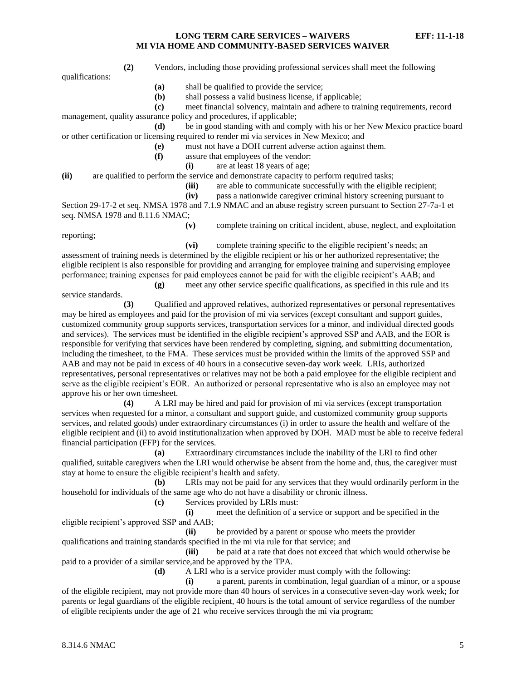qualifications:

**(2)** Vendors, including those providing professional services shall meet the following

- **(a)** shall be qualified to provide the service;
- **(b)** shall possess a valid business license, if applicable;

**(c)** meet financial solvency, maintain and adhere to training requirements, record

management, quality assurance policy and procedures, if applicable;

**(d)** be in good standing with and comply with his or her New Mexico practice board or other certification or licensing required to render mi via services in New Mexico; and

- **(e)** must not have a DOH current adverse action against them.
- **(f)** assure that employees of the vendor:
	- **(i)** are at least 18 years of age;

**(ii)** are qualified to perform the service and demonstrate capacity to perform required tasks;

- **(iii)** are able to communicate successfully with the eligible recipient;
- **(iv)** pass a nationwide caregiver criminal history screening pursuant to

Section 29-17-2 et seq. NMSA 1978 and 7.1.9 NMAC and an abuse registry screen pursuant to Section 27-7a-1 et seq. NMSA 1978 and 8.11.6 NMAC;

reporting;

service standards.

**(v)** complete training on critical incident, abuse, neglect, and exploitation

**(vi)** complete training specific to the eligible recipient's needs; an assessment of training needs is determined by the eligible recipient or his or her authorized representative; the eligible recipient is also responsible for providing and arranging for employee training and supervising employee performance; training expenses for paid employees cannot be paid for with the eligible recipient's AAB; and

**(g)** meet any other service specific qualifications, as specified in this rule and its

**(3)** Qualified and approved relatives, authorized representatives or personal representatives may be hired as employees and paid for the provision of mi via services (except consultant and support guides, customized community group supports services, transportation services for a minor, and individual directed goods and services). The services must be identified in the eligible recipient's approved SSP and AAB, and the EOR is responsible for verifying that services have been rendered by completing, signing, and submitting documentation, including the timesheet, to the FMA. These services must be provided within the limits of the approved SSP and AAB and may not be paid in excess of 40 hours in a consecutive seven-day work week. LRIs, authorized representatives, personal representatives or relatives may not be both a paid employee for the eligible recipient and serve as the eligible recipient's EOR. An authorized or personal representative who is also an employee may not approve his or her own timesheet.

**(4)** A LRI may be hired and paid for provision of mi via services (except transportation services when requested for a minor, a consultant and support guide, and customized community group supports services, and related goods) under extraordinary circumstances (i) in order to assure the health and welfare of the eligible recipient and (ii) to avoid institutionalization when approved by DOH. MAD must be able to receive federal financial participation (FFP) for the services.

**(a)** Extraordinary circumstances include the inability of the LRI to find other qualified, suitable caregivers when the LRI would otherwise be absent from the home and, thus, the caregiver must stay at home to ensure the eligible recipient's health and safety.

**(b)** LRIs may not be paid for any services that they would ordinarily perform in the household for individuals of the same age who do not have a disability or chronic illness.

**(c)** Services provided by LRIs must:

**(i)** meet the definition of a service or support and be specified in the eligible recipient's approved SSP and AAB;

**(ii)** be provided by a parent or spouse who meets the provider qualifications and training standards specified in the mi via rule for that service; and

**(iii)** be paid at a rate that does not exceed that which would otherwise be paid to a provider of a similar service,and be approved by the TPA.

**(d)** A LRI who is a service provider must comply with the following:

**(i)** a parent, parents in combination, legal guardian of a minor, or a spouse of the eligible recipient, may not provide more than 40 hours of services in a consecutive seven-day work week; for parents or legal guardians of the eligible recipient, 40 hours is the total amount of service regardless of the number of eligible recipients under the age of 21 who receive services through the mi via program;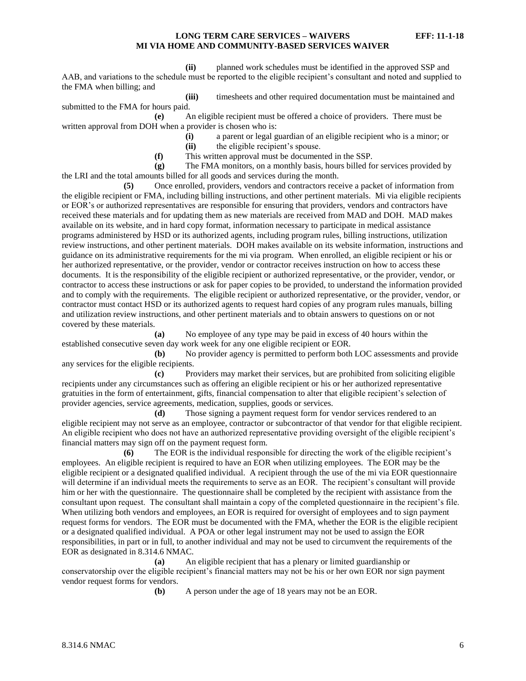**(ii)** planned work schedules must be identified in the approved SSP and AAB, and variations to the schedule must be reported to the eligible recipient's consultant and noted and supplied to the FMA when billing; and

**(iii)** timesheets and other required documentation must be maintained and submitted to the FMA for hours paid.

**(e)** An eligible recipient must be offered a choice of providers. There must be written approval from DOH when a provider is chosen who is:

**(i)** a parent or legal guardian of an eligible recipient who is a minor; or **(ii)** the eligible recipient's spouse.

**(f)** This written approval must be documented in the SSP.

**(g)** The FMA monitors, on a monthly basis, hours billed for services provided by the LRI and the total amounts billed for all goods and services during the month.

**(5)** Once enrolled, providers, vendors and contractors receive a packet of information from the eligible recipient or FMA, including billing instructions, and other pertinent materials. Mi via eligible recipients or EOR's or authorized representatives are responsible for ensuring that providers, vendors and contractors have received these materials and for updating them as new materials are received from MAD and DOH. MAD makes available on its website, and in hard copy format, information necessary to participate in medical assistance programs administered by HSD or its authorized agents, including program rules, billing instructions, utilization review instructions, and other pertinent materials. DOH makes available on its website information, instructions and guidance on its administrative requirements for the mi via program. When enrolled, an eligible recipient or his or her authorized representative, or the provider, vendor or contractor receives instruction on how to access these documents. It is the responsibility of the eligible recipient or authorized representative, or the provider, vendor, or contractor to access these instructions or ask for paper copies to be provided, to understand the information provided and to comply with the requirements. The eligible recipient or authorized representative, or the provider, vendor, or contractor must contact HSD or its authorized agents to request hard copies of any program rules manuals, billing and utilization review instructions, and other pertinent materials and to obtain answers to questions on or not covered by these materials.

**(a)** No employee of any type may be paid in excess of 40 hours within the established consecutive seven day work week for any one eligible recipient or EOR.

**(b)** No provider agency is permitted to perform both LOC assessments and provide any services for the eligible recipients.

**(c)** Providers may market their services, but are prohibited from soliciting eligible recipients under any circumstances such as offering an eligible recipient or his or her authorized representative gratuities in the form of entertainment, gifts, financial compensation to alter that eligible recipient's selection of provider agencies, service agreements, medication, supplies, goods or services.

**(d)** Those signing a payment request form for vendor services rendered to an eligible recipient may not serve as an employee, contractor or subcontractor of that vendor for that eligible recipient. An eligible recipient who does not have an authorized representative providing oversight of the eligible recipient's financial matters may sign off on the payment request form.

**(6)** The EOR is the individual responsible for directing the work of the eligible recipient's employees. An eligible recipient is required to have an EOR when utilizing employees. The EOR may be the eligible recipient or a designated qualified individual. A recipient through the use of the mi via EOR questionnaire will determine if an individual meets the requirements to serve as an EOR. The recipient's consultant will provide him or her with the questionnaire. The questionnaire shall be completed by the recipient with assistance from the consultant upon request. The consultant shall maintain a copy of the completed questionnaire in the recipient's file. When utilizing both vendors and employees, an EOR is required for oversight of employees and to sign payment request forms for vendors. The EOR must be documented with the FMA, whether the EOR is the eligible recipient or a designated qualified individual. A POA or other legal instrument may not be used to assign the EOR responsibilities, in part or in full, to another individual and may not be used to circumvent the requirements of the EOR as designated in 8.314.6 NMAC.

**(a)** An eligible recipient that has a plenary or limited guardianship or conservatorship over the eligible recipient's financial matters may not be his or her own EOR nor sign payment vendor request forms for vendors.

**(b)** A person under the age of 18 years may not be an EOR.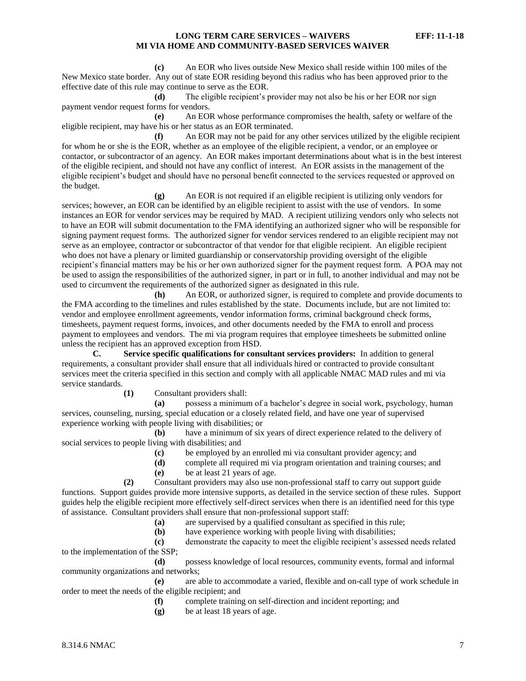**(c)** An EOR who lives outside New Mexico shall reside within 100 miles of the New Mexico state border. Any out of state EOR residing beyond this radius who has been approved prior to the effective date of this rule may continue to serve as the EOR.

**(d)** The eligible recipient's provider may not also be his or her EOR nor sign payment vendor request forms for vendors.

**(e)** An EOR whose performance compromises the health, safety or welfare of the eligible recipient, may have his or her status as an EOR terminated.

**(f)** An EOR may not be paid for any other services utilized by the eligible recipient for whom he or she is the EOR, whether as an employee of the eligible recipient, a vendor, or an employee or contactor, or subcontractor of an agency. An EOR makes important determinations about what is in the best interest of the eligible recipient, and should not have any conflict of interest. An EOR assists in the management of the eligible recipient's budget and should have no personal benefit connected to the services requested or approved on the budget.

**(g)** An EOR is not required if an eligible recipient is utilizing only vendors for services; however, an EOR can be identified by an eligible recipient to assist with the use of vendors. In some instances an EOR for vendor services may be required by MAD. A recipient utilizing vendors only who selects not to have an EOR will submit documentation to the FMA identifying an authorized signer who will be responsible for signing payment request forms. The authorized signer for vendor services rendered to an eligible recipient may not serve as an employee, contractor or subcontractor of that vendor for that eligible recipient. An eligible recipient who does not have a plenary or limited guardianship or conservatorship providing oversight of the eligible recipient's financial matters may be his or her own authorized signer for the payment request form. A POA may not be used to assign the responsibilities of the authorized signer, in part or in full, to another individual and may not be used to circumvent the requirements of the authorized signer as designated in this rule.

**(h)** An EOR, or authorized signer, is required to complete and provide documents to the FMA according to the timelines and rules established by the state. Documents include, but are not limited to: vendor and employee enrollment agreements, vendor information forms, criminal background check forms, timesheets, payment request forms, invoices, and other documents needed by the FMA to enroll and process payment to employees and vendors. The mi via program requires that employee timesheets be submitted online unless the recipient has an approved exception from HSD.

**C. Service specific qualifications for consultant services providers:** In addition to general requirements, a consultant provider shall ensure that all individuals hired or contracted to provide consultant services meet the criteria specified in this section and comply with all applicable NMAC MAD rules and mi via service standards.

**(1)** Consultant providers shall:

**(a)** possess a minimum of a bachelor's degree in social work, psychology, human services, counseling, nursing, special education or a closely related field, and have one year of supervised experience working with people living with disabilities; or

**(b)** have a minimum of six years of direct experience related to the delivery of social services to people living with disabilities; and

- **(c)** be employed by an enrolled mi via consultant provider agency; and
- **(d)** complete all required mi via program orientation and training courses; and
- **(e)** be at least 21 years of age.

**(2)** Consultant providers may also use non-professional staff to carry out support guide functions. Support guides provide more intensive supports, as detailed in the service section of these rules. Support guides help the eligible recipient more effectively self-direct services when there is an identified need for this type of assistance. Consultant providers shall ensure that non-professional support staff:

- **(a)** are supervised by a qualified consultant as specified in this rule;
- **(b)** have experience working with people living with disabilities;

**(c)** demonstrate the capacity to meet the eligible recipient's assessed needs related to the implementation of the SSP;

**(d)** possess knowledge of local resources, community events, formal and informal community organizations and networks;

**(e)** are able to accommodate a varied, flexible and on-call type of work schedule in order to meet the needs of the eligible recipient; and

- **(f)** complete training on self-direction and incident reporting; and
- **(g)** be at least 18 years of age.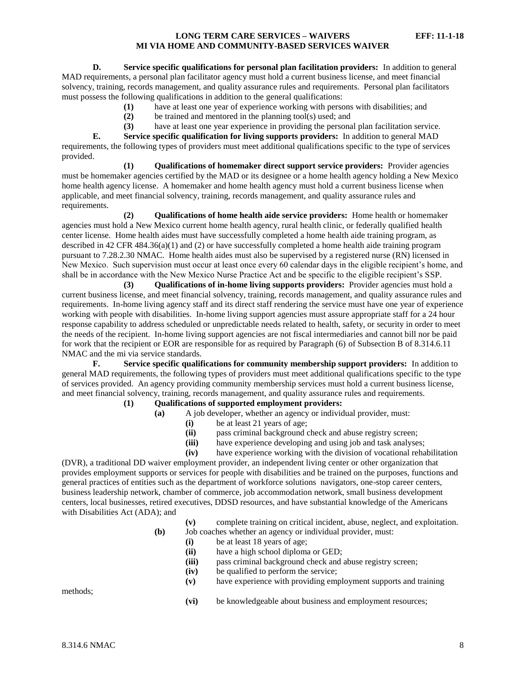**D. Service specific qualifications for personal plan facilitation providers:** In addition to general MAD requirements, a personal plan facilitator agency must hold a current business license, and meet financial solvency, training, records management, and quality assurance rules and requirements. Personal plan facilitators must possess the following qualifications in addition to the general qualifications:

- **(1)** have at least one year of experience working with persons with disabilities; and
- **(2)** be trained and mentored in the planning tool(s) used; and

**(3)** have at least one year experience in providing the personal plan facilitation service.

**E. Service specific qualification for living supports providers:** In addition to general MAD requirements, the following types of providers must meet additional qualifications specific to the type of services provided.

**(1) Qualifications of homemaker direct support service providers:** Provider agencies must be homemaker agencies certified by the MAD or its designee or a home health agency holding a New Mexico home health agency license. A homemaker and home health agency must hold a current business license when applicable, and meet financial solvency, training, records management, and quality assurance rules and requirements.

**(2) Qualifications of home health aide service providers:** Home health or homemaker agencies must hold a New Mexico current home health agency, rural health clinic, or federally qualified health center license. Home health aides must have successfully completed a home health aide training program, as described in 42 CFR 484.36(a)(1) and (2) or have successfully completed a home health aide training program pursuant to 7.28.2.30 NMAC. Home health aides must also be supervised by a registered nurse (RN) licensed in New Mexico. Such supervision must occur at least once every 60 calendar days in the eligible recipient's home, and shall be in accordance with the New Mexico Nurse Practice Act and be specific to the eligible recipient's SSP.

**(3) Qualifications of in-home living supports providers:** Provider agencies must hold a current business license, and meet financial solvency, training, records management, and quality assurance rules and requirements. In-home living agency staff and its direct staff rendering the service must have one year of experience working with people with disabilities. In-home living support agencies must assure appropriate staff for a 24 hour response capability to address scheduled or unpredictable needs related to health, safety, or security in order to meet the needs of the recipient. In-home living support agencies are not fiscal intermediaries and cannot bill nor be paid for work that the recipient or EOR are responsible for as required by Paragraph (6) of Subsection B of 8.314.6.11 NMAC and the mi via service standards.

**F. Service specific qualifications for community membership support providers:** In addition to general MAD requirements, the following types of providers must meet additional qualifications specific to the type of services provided. An agency providing community membership services must hold a current business license, and meet financial solvency, training, records management, and quality assurance rules and requirements.

# **(1) Qualifications of supported employment providers:**

- **(a)** A job developer, whether an agency or individual provider, must:
	- **(i)** be at least 21 years of age;
	- **(ii)** pass criminal background check and abuse registry screen;
	- **(iii)** have experience developing and using job and task analyses;
	- **(iv)** have experience working with the division of vocational rehabilitation

(DVR), a traditional DD waiver employment provider, an independent living center or other organization that provides employment supports or services for people with disabilities and be trained on the purposes, functions and general practices of entities such as the department of workforce solutions navigators, one-stop career centers, business leadership network, chamber of commerce, job accommodation network, small business development centers, local businesses, retired executives, DDSD resources, and have substantial knowledge of the Americans with Disabilities Act (ADA); and

- **(v)** complete training on critical incident, abuse, neglect, and exploitation. **(b)** Job coaches whether an agency or individual provider, must:
	- **(i)** be at least 18 years of age;
	- **(ii)** have a high school diploma or GED;
	- **(iii)** pass criminal background check and abuse registry screen;
	- **(iv)** be qualified to perform the service;
	- **(v)** have experience with providing employment supports and training

methods;

**(vi)** be knowledgeable about business and employment resources;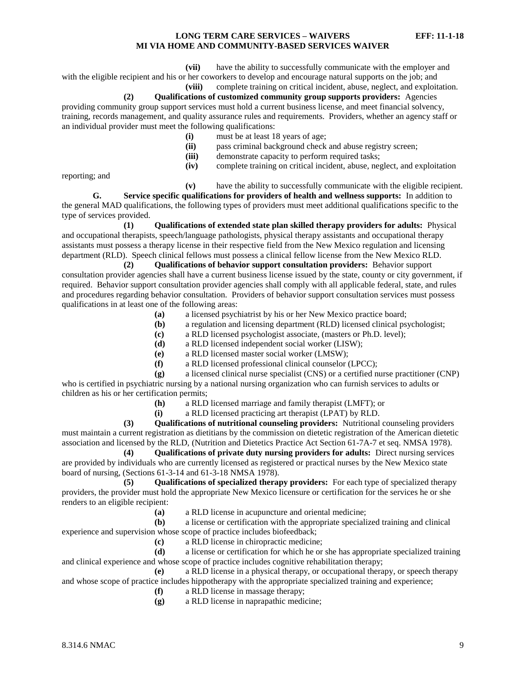**(vii)** have the ability to successfully communicate with the employer and

with the eligible recipient and his or her coworkers to develop and encourage natural supports on the job; and **(viii)** complete training on critical incident, abuse, neglect, and exploitation.

**(2) Qualifications of customized community group supports providers:** Agencies

providing community group support services must hold a current business license, and meet financial solvency, training, records management, and quality assurance rules and requirements. Providers, whether an agency staff or an individual provider must meet the following qualifications:

- **(i)** must be at least 18 years of age;
- **(ii)** pass criminal background check and abuse registry screen;
- **(iii)** demonstrate capacity to perform required tasks;
- **(iv)** complete training on critical incident, abuse, neglect, and exploitation

reporting; and

**(v)** have the ability to successfully communicate with the eligible recipient.

**G. Service specific qualifications for providers of health and wellness supports:** In addition to the general MAD qualifications, the following types of providers must meet additional qualifications specific to the type of services provided.

**(1) Qualifications of extended state plan skilled therapy providers for adults:** Physical and occupational therapists, speech/language pathologists, physical therapy assistants and occupational therapy assistants must possess a therapy license in their respective field from the New Mexico regulation and licensing department (RLD). Speech clinical fellows must possess a clinical fellow license from the New Mexico RLD.

**(2) Qualifications of behavior support consultation providers:** Behavior support consultation provider agencies shall have a current business license issued by the state, county or city government, if required. Behavior support consultation provider agencies shall comply with all applicable federal, state, and rules and procedures regarding behavior consultation. Providers of behavior support consultation services must possess qualifications in at least one of the following areas:

- **(a)** a licensed psychiatrist by his or her New Mexico practice board;
- **(b)** a regulation and licensing department (RLD) licensed clinical psychologist;
- **(c)** a RLD licensed psychologist associate, (masters or Ph.D. level);
- **(d)** a RLD licensed independent social worker (LISW);
- **(e)** a RLD licensed master social worker (LMSW);
- **(f)** a RLD licensed professional clinical counselor (LPCC);

**(g)** a licensed clinical nurse specialist (CNS) or a certified nurse practitioner (CNP) who is certified in psychiatric nursing by a national nursing organization who can furnish services to adults or children as his or her certification permits;

**(h)** a RLD licensed marriage and family therapist (LMFT); or

**(i)** a RLD licensed practicing art therapist (LPAT) by RLD.

**(3) Qualifications of nutritional counseling providers:** Nutritional counseling providers must maintain a current registration as dietitians by the commission on dietetic registration of the American dietetic association and licensed by the RLD, (Nutrition and Dietetics Practice Act Section 61-7A-7 et seq. NMSA 1978).

**(4) Qualifications of private duty nursing providers for adults:** Direct nursing services are provided by individuals who are currently licensed as registered or practical nurses by the New Mexico state board of nursing, (Sections 61-3-14 and 61-3-18 NMSA 1978).

**(5) Qualifications of specialized therapy providers:** For each type of specialized therapy providers, the provider must hold the appropriate New Mexico licensure or certification for the services he or she renders to an eligible recipient:

**(a)** a RLD license in acupuncture and oriental medicine;

**(b)** a license or certification with the appropriate specialized training and clinical experience and supervision whose scope of practice includes biofeedback;

**(c)** a RLD license in chiropractic medicine;

**(d)** a license or certification for which he or she has appropriate specialized training and clinical experience and whose scope of practice includes cognitive rehabilitation therapy;

**(e)** a RLD license in a physical therapy, or occupational therapy, or speech therapy and whose scope of practice includes hippotherapy with the appropriate specialized training and experience;

**(f)** a RLD license in massage therapy;

**(g)** a RLD license in naprapathic medicine;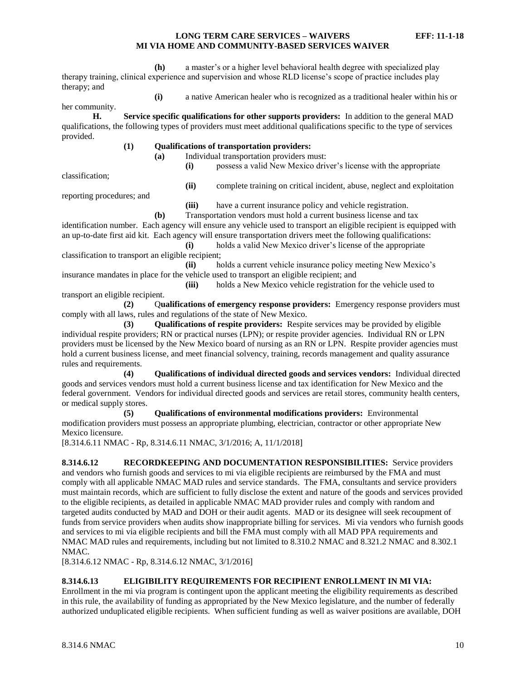**(h)** a master's or a higher level behavioral health degree with specialized play therapy training, clinical experience and supervision and whose RLD license's scope of practice includes play therapy; and

**(i)** a native American healer who is recognized as a traditional healer within his or

her community.

**H. Service specific qualifications for other supports providers:** In addition to the general MAD qualifications, the following types of providers must meet additional qualifications specific to the type of services provided.

**(1) Qualifications of transportation providers:**

**(a)** Individual transportation providers must: **(i)** possess a valid New Mexico driver's license with the appropriate

classification;

**(ii)** complete training on critical incident, abuse, neglect and exploitation

reporting procedures; and

**(iii)** have a current insurance policy and vehicle registration.

**(b)** Transportation vendors must hold a current business license and tax identification number. Each agency will ensure any vehicle used to transport an eligible recipient is equipped with an up-to-date first aid kit. Each agency will ensure transportation drivers meet the following qualifications: **(i)** holds a valid New Mexico driver's license of the appropriate

classification to transport an eligible recipient; **(ii)** holds a current vehicle insurance policy meeting New Mexico's

insurance mandates in place for the vehicle used to transport an eligible recipient; and **(iii)** holds a New Mexico vehicle registration for the vehicle used to

transport an eligible recipient.

**(2)** Q**ualifications of emergency response providers:** Emergency response providers must comply with all laws, rules and regulations of the state of New Mexico.

**(3) Qualifications of respite providers:** Respite services may be provided by eligible individual respite providers; RN or practical nurses (LPN); or respite provider agencies. Individual RN or LPN providers must be licensed by the New Mexico board of nursing as an RN or LPN. Respite provider agencies must hold a current business license, and meet financial solvency, training, records management and quality assurance rules and requirements.

**(4) Qualifications of individual directed goods and services vendors:** Individual directed goods and services vendors must hold a current business license and tax identification for New Mexico and the federal government. Vendors for individual directed goods and services are retail stores, community health centers, or medical supply stores.

**(5) Qualifications of environmental modifications providers:** Environmental modification providers must possess an appropriate plumbing, electrician, contractor or other appropriate New Mexico licensure.

[8.314.6.11 NMAC - Rp, 8.314.6.11 NMAC, 3/1/2016; A, 11/1/2018]

<span id="page-10-0"></span>**8.314.6.12 RECORDKEEPING AND DOCUMENTATION RESPONSIBILITIES:** Service providers and vendors who furnish goods and services to mi via eligible recipients are reimbursed by the FMA and must comply with all applicable NMAC MAD rules and service standards. The FMA, consultants and service providers must maintain records, which are sufficient to fully disclose the extent and nature of the goods and services provided to the eligible recipients, as detailed in applicable NMAC MAD provider rules and comply with random and targeted audits conducted by MAD and DOH or their audit agents. MAD or its designee will seek recoupment of funds from service providers when audits show inappropriate billing for services. Mi via vendors who furnish goods and services to mi via eligible recipients and bill the FMA must comply with all MAD PPA requirements and NMAC MAD rules and requirements, including but not limited to 8.310.2 NMAC and 8.321.2 NMAC and 8.302.1 NMAC.

[8.314.6.12 NMAC - Rp, 8.314.6.12 NMAC, 3/1/2016]

# <span id="page-10-1"></span>**8.314.6.13 ELIGIBILITY REQUIREMENTS FOR RECIPIENT ENROLLMENT IN MI VIA:**

Enrollment in the mi via program is contingent upon the applicant meeting the eligibility requirements as described in this rule, the availability of funding as appropriated by the New Mexico legislature, and the number of federally authorized unduplicated eligible recipients. When sufficient funding as well as waiver positions are available, DOH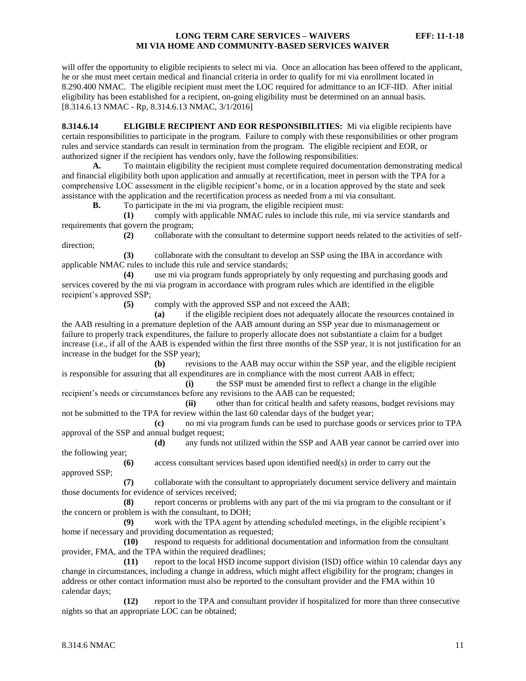will offer the opportunity to eligible recipients to select mi via. Once an allocation has been offered to the applicant, he or she must meet certain medical and financial criteria in order to qualify for mi via enrollment located in 8.290.400 NMAC. The eligible recipient must meet the LOC required for admittance to an ICF-IID. After initial eligibility has been established for a recipient, on-going eligibility must be determined on an annual basis. [8.314.6.13 NMAC - Rp, 8.314.6.13 NMAC, 3/1/2016]

<span id="page-11-0"></span>**8.314.6.14 ELIGIBLE RECIPIENT AND EOR RESPONSIBILITIES:** Mi via eligible recipients have certain responsibilities to participate in the program. Failure to comply with these responsibilities or other program rules and service standards can result in termination from the program. The eligible recipient and EOR, or authorized signer if the recipient has vendors only, have the following responsibilities:

**A.** To maintain eligibility the recipient must complete required documentation demonstrating medical and financial eligibility both upon application and annually at recertification, meet in person with the TPA for a comprehensive LOC assessment in the eligible recipient's home, or in a location approved by the state and seek assistance with the application and the recertification process as needed from a mi via consultant.

**B.** To participate in the mi via program, the eligible recipient must:

**(1)** comply with applicable NMAC rules to include this rule, mi via service standards and requirements that govern the program;

**(2)** collaborate with the consultant to determine support needs related to the activities of selfdirection;

**(3)** collaborate with the consultant to develop an SSP using the IBA in accordance with applicable NMAC rules to include this rule and service standards;

**(4)** use mi via program funds appropriately by only requesting and purchasing goods and services covered by the mi via program in accordance with program rules which are identified in the eligible recipient's approved SSP;

**(5)** comply with the approved SSP and not exceed the AAB;

**(a)** if the eligible recipient does not adequately allocate the resources contained in the AAB resulting in a premature depletion of the AAB amount during an SSP year due to mismanagement or failure to properly track expenditures, the failure to properly allocate does not substantiate a claim for a budget increase (i.e., if all of the AAB is expended within the first three months of the SSP year, it is not justification for an increase in the budget for the SSP year);

**(b)** revisions to the AAB may occur within the SSP year, and the eligible recipient is responsible for assuring that all expenditures are in compliance with the most current AAB in effect;

**(i)** the SSP must be amended first to reflect a change in the eligible recipient's needs or circumstances before any revisions to the AAB can be requested;

**(ii)** other than for critical health and safety reasons, budget revisions may not be submitted to the TPA for review within the last 60 calendar days of the budget year;

**(c)** no mi via program funds can be used to purchase goods or services prior to TPA approval of the SSP and annual budget request;

**(d)** any funds not utilized within the SSP and AAB year cannot be carried over into the following year;

**(6)** access consultant services based upon identified need(s) in order to carry out the approved SSP;

**(7)** collaborate with the consultant to appropriately document service delivery and maintain those documents for evidence of services received;

**(8)** report concerns or problems with any part of the mi via program to the consultant or if the concern or problem is with the consultant, to DOH;

**(9)** work with the TPA agent by attending scheduled meetings, in the eligible recipient's home if necessary and providing documentation as requested;

**(10)** respond to requests for additional documentation and information from the consultant provider, FMA, and the TPA within the required deadlines;

**(11)** report to the local HSD income support division (ISD) office within 10 calendar days any change in circumstances, including a change in address, which might affect eligibility for the program; changes in address or other contact information must also be reported to the consultant provider and the FMA within 10 calendar days;

**(12)** report to the TPA and consultant provider if hospitalized for more than three consecutive nights so that an appropriate LOC can be obtained;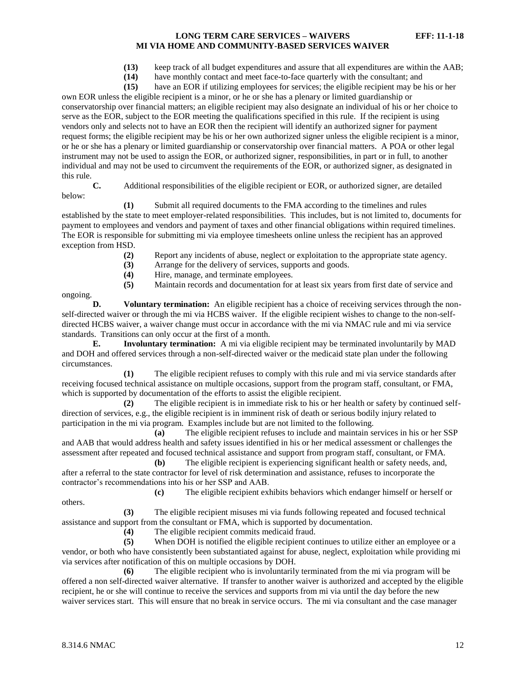**(13)** keep track of all budget expenditures and assure that all expenditures are within the AAB;

**(14)** have monthly contact and meet face-to-face quarterly with the consultant; and

**(15)** have an EOR if utilizing employees for services; the eligible recipient may be his or her own EOR unless the eligible recipient is a minor, or he or she has a plenary or limited guardianship or conservatorship over financial matters; an eligible recipient may also designate an individual of his or her choice to serve as the EOR, subject to the EOR meeting the qualifications specified in this rule. If the recipient is using vendors only and selects not to have an EOR then the recipient will identify an authorized signer for payment request forms; the eligible recipient may be his or her own authorized signer unless the eligible recipient is a minor, or he or she has a plenary or limited guardianship or conservatorship over financial matters. A POA or other legal instrument may not be used to assign the EOR, or authorized signer, responsibilities, in part or in full, to another individual and may not be used to circumvent the requirements of the EOR, or authorized signer, as designated in this rule.

**C.** Additional responsibilities of the eligible recipient or EOR, or authorized signer, are detailed below:

**(1)** Submit all required documents to the FMA according to the timelines and rules established by the state to meet employer-related responsibilities. This includes, but is not limited to, documents for payment to employees and vendors and payment of taxes and other financial obligations within required timelines. The EOR is responsible for submitting mi via employee timesheets online unless the recipient has an approved exception from HSD.

- **(2)** Report any incidents of abuse, neglect or exploitation to the appropriate state agency.
- **(3)** Arrange for the delivery of services, supports and goods.
- **(4)** Hire, manage, and terminate employees.

**(5)** Maintain records and documentation for at least six years from first date of service and

ongoing.

**D. Voluntary termination:** An eligible recipient has a choice of receiving services through the nonself-directed waiver or through the mi via HCBS waiver. If the eligible recipient wishes to change to the non-selfdirected HCBS waiver, a waiver change must occur in accordance with the mi via NMAC rule and mi via service standards. Transitions can only occur at the first of a month.

**E. Involuntary termination:** A mi via eligible recipient may be terminated involuntarily by MAD and DOH and offered services through a non-self-directed waiver or the medicaid state plan under the following circumstances.

**(1)** The eligible recipient refuses to comply with this rule and mi via service standards after receiving focused technical assistance on multiple occasions, support from the program staff, consultant, or FMA, which is supported by documentation of the efforts to assist the eligible recipient.

**(2)** The eligible recipient is in immediate risk to his or her health or safety by continued selfdirection of services, e.g., the eligible recipient is in imminent risk of death or serious bodily injury related to participation in the mi via program. Examples include but are not limited to the following.

**(a)** The eligible recipient refuses to include and maintain services in his or her SSP and AAB that would address health and safety issues identified in his or her medical assessment or challenges the assessment after repeated and focused technical assistance and support from program staff, consultant, or FMA.

**(b)** The eligible recipient is experiencing significant health or safety needs, and, after a referral to the state contractor for level of risk determination and assistance, refuses to incorporate the contractor's recommendations into his or her SSP and AAB.

**(c)** The eligible recipient exhibits behaviors which endanger himself or herself or

others.

**(3)** The eligible recipient misuses mi via funds following repeated and focused technical assistance and support from the consultant or FMA, which is supported by documentation.

**(4)** The eligible recipient commits medicaid fraud.

**(5)** When DOH is notified the eligible recipient continues to utilize either an employee or a vendor, or both who have consistently been substantiated against for abuse, neglect, exploitation while providing mi via services after notification of this on multiple occasions by DOH.

**(6)** The eligible recipient who is involuntarily terminated from the mi via program will be offered a non self-directed waiver alternative. If transfer to another waiver is authorized and accepted by the eligible recipient, he or she will continue to receive the services and supports from mi via until the day before the new waiver services start. This will ensure that no break in service occurs. The mi via consultant and the case manager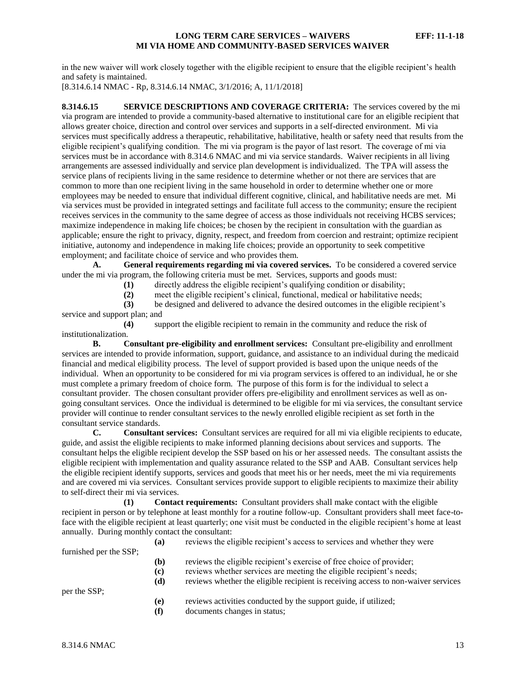in the new waiver will work closely together with the eligible recipient to ensure that the eligible recipient's health and safety is maintained.

[8.314.6.14 NMAC - Rp, 8.314.6.14 NMAC, 3/1/2016; A, 11/1/2018]

<span id="page-13-0"></span>**8.314.6.15 SERVICE DESCRIPTIONS AND COVERAGE CRITERIA:** The services covered by the mi via program are intended to provide a community-based alternative to institutional care for an eligible recipient that allows greater choice, direction and control over services and supports in a self-directed environment. Mi via services must specifically address a therapeutic, rehabilitative, habilitative, health or safety need that results from the eligible recipient's qualifying condition. The mi via program is the payor of last resort. The coverage of mi via services must be in accordance with 8.314.6 NMAC and mi via service standards. Waiver recipients in all living arrangements are assessed individually and service plan development is individualized. The TPA will assess the service plans of recipients living in the same residence to determine whether or not there are services that are common to more than one recipient living in the same household in order to determine whether one or more employees may be needed to ensure that individual different cognitive, clinical, and habilitative needs are met. Mi via services must be provided in integrated settings and facilitate full access to the community; ensure the recipient receives services in the community to the same degree of access as those individuals not receiving HCBS services; maximize independence in making life choices; be chosen by the recipient in consultation with the guardian as applicable; ensure the right to privacy, dignity, respect, and freedom from coercion and restraint; optimize recipient initiative, autonomy and independence in making life choices; provide an opportunity to seek competitive employment; and facilitate choice of service and who provides them.

**A. General requirements regarding mi via covered services.** To be considered a covered service under the mi via program, the following criteria must be met. Services, supports and goods must:

**(1)** directly address the eligible recipient's qualifying condition or disability;

**(2)** meet the eligible recipient's clinical, functional, medical or habilitative needs;

**(3)** be designed and delivered to advance the desired outcomes in the eligible recipient's service and support plan; and

**(4)** support the eligible recipient to remain in the community and reduce the risk of institutionalization.

**B. Consultant pre-eligibility and enrollment services:** Consultant pre-eligibility and enrollment services are intended to provide information, support, guidance, and assistance to an individual during the medicaid financial and medical eligibility process. The level of support provided is based upon the unique needs of the individual. When an opportunity to be considered for mi via program services is offered to an individual, he or she must complete a primary freedom of choice form. The purpose of this form is for the individual to select a consultant provider. The chosen consultant provider offers pre-eligibility and enrollment services as well as ongoing consultant services. Once the individual is determined to be eligible for mi via services, the consultant service provider will continue to render consultant services to the newly enrolled eligible recipient as set forth in the consultant service standards.

**C. Consultant services:** Consultant services are required for all mi via eligible recipients to educate, guide, and assist the eligible recipients to make informed planning decisions about services and supports. The consultant helps the eligible recipient develop the SSP based on his or her assessed needs. The consultant assists the eligible recipient with implementation and quality assurance related to the SSP and AAB. Consultant services help the eligible recipient identify supports, services and goods that meet his or her needs, meet the mi via requirements and are covered mi via services. Consultant services provide support to eligible recipients to maximize their ability to self-direct their mi via services.

**(1) Contact requirements:** Consultant providers shall make contact with the eligible recipient in person or by telephone at least monthly for a routine follow-up. Consultant providers shall meet face-toface with the eligible recipient at least quarterly; one visit must be conducted in the eligible recipient's home at least annually. During monthly contact the consultant:

|                        | (a) | reviews the eligible recipient's access to services and whether they were         |
|------------------------|-----|-----------------------------------------------------------------------------------|
| furnished per the SSP; |     |                                                                                   |
|                        | (b) | reviews the eligible recipient's exercise of free choice of provider;             |
|                        | (c) | reviews whether services are meeting the eligible recipient's needs;              |
|                        | (d) | reviews whether the eligible recipient is receiving access to non-waiver services |
| per the SSP;           |     |                                                                                   |
|                        | (e) | reviews activities conducted by the support guide, if utilized;                   |
|                        | (f) | documents changes in status;                                                      |
|                        |     |                                                                                   |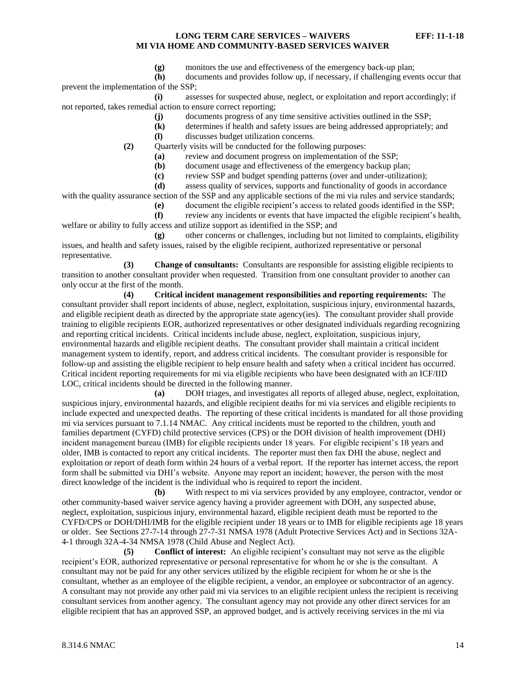**(g)** monitors the use and effectiveness of the emergency back-up plan;

**(h)** documents and provides follow up, if necessary, if challenging events occur that prevent the implementation of the SSP;

**(i)** assesses for suspected abuse, neglect, or exploitation and report accordingly; if not reported, takes remedial action to ensure correct reporting;

**(j)** documents progress of any time sensitive activities outlined in the SSP;

- **(k)** determines if health and safety issues are being addressed appropriately; and
- **(l)** discusses budget utilization concerns.

**(2)** Quarterly visits will be conducted for the following purposes:

- **(a)** review and document progress on implementation of the SSP;
- **(b)** document usage and effectiveness of the emergency backup plan;
- **(c)** review SSP and budget spending patterns (over and under-utilization);

**(d)** assess quality of services, supports and functionality of goods in accordance

with the quality assurance section of the SSP and any applicable sections of the mi via rules and service standards;

**(e)** document the eligible recipient's access to related goods identified in the SSP;

**(f)** review any incidents or events that have impacted the eligible recipient's health, welfare or ability to fully access and utilize support as identified in the SSP; and

**(g)** other concerns or challenges, including but not limited to complaints, eligibility issues, and health and safety issues, raised by the eligible recipient, authorized representative or personal representative.

**(3) Change of consultants:** Consultants are responsible for assisting eligible recipients to transition to another consultant provider when requested. Transition from one consultant provider to another can only occur at the first of the month.

**(4) Critical incident management responsibilities and reporting requirements:** The consultant provider shall report incidents of abuse, neglect, exploitation, suspicious injury, environmental hazards, and eligible recipient death as directed by the appropriate state agency(ies). The consultant provider shall provide training to eligible recipients EOR, authorized representatives or other designated individuals regarding recognizing and reporting critical incidents. Critical incidents include abuse, neglect, exploitation, suspicious injury, environmental hazards and eligible recipient deaths. The consultant provider shall maintain a critical incident management system to identify, report, and address critical incidents. The consultant provider is responsible for follow-up and assisting the eligible recipient to help ensure health and safety when a critical incident has occurred. Critical incident reporting requirements for mi via eligible recipients who have been designated with an ICF/IID LOC, critical incidents should be directed in the following manner.

**(a)** DOH triages, and investigates all reports of alleged abuse, neglect, exploitation, suspicious injury, environmental hazards, and eligible recipient deaths for mi via services and eligible recipients to include expected and unexpected deaths. The reporting of these critical incidents is mandated for all those providing mi via services pursuant to 7.1.14 NMAC. Any critical incidents must be reported to the children, youth and families department (CYFD) child protective services (CPS) or the DOH division of health improvement (DHI) incident management bureau (IMB) for eligible recipients under 18 years. For eligible recipient's 18 years and older, IMB is contacted to report any critical incidents. The reporter must then fax DHI the abuse, neglect and exploitation or report of death form within 24 hours of a verbal report. If the reporter has internet access, the report form shall be submitted via DHI's website. Anyone may report an incident; however, the person with the most direct knowledge of the incident is the individual who is required to report the incident.

**(b)** With respect to mi via services provided by any employee, contractor, vendor or other community-based waiver service agency having a provider agreement with DOH, any suspected abuse, neglect, exploitation, suspicious injury, environmental hazard, eligible recipient death must be reported to the CYFD/CPS or DOH/DHI/IMB for the eligible recipient under 18 years or to IMB for eligible recipients age 18 years or older. See Sections 27-7-14 through 27-7-31 NMSA 1978 (Adult Protective Services Act) and in Sections 32A-4-1 through 32A-4-34 NMSA 1978 (Child Abuse and Neglect Act).

**(5) Conflict of interest:** An eligible recipient's consultant may not serve as the eligible recipient's EOR, authorized representative or personal representative for whom he or she is the consultant. A consultant may not be paid for any other services utilized by the eligible recipient for whom he or she is the consultant, whether as an employee of the eligible recipient, a vendor, an employee or subcontractor of an agency. A consultant may not provide any other paid mi via services to an eligible recipient unless the recipient is receiving consultant services from another agency. The consultant agency may not provide any other direct services for an eligible recipient that has an approved SSP, an approved budget, and is actively receiving services in the mi via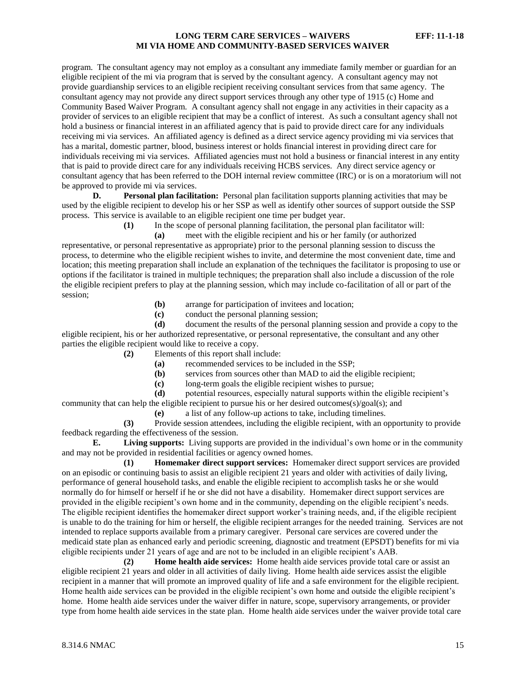program. The consultant agency may not employ as a consultant any immediate family member or guardian for an eligible recipient of the mi via program that is served by the consultant agency. A consultant agency may not provide guardianship services to an eligible recipient receiving consultant services from that same agency. The consultant agency may not provide any direct support services through any other type of 1915 (c) Home and Community Based Waiver Program. A consultant agency shall not engage in any activities in their capacity as a provider of services to an eligible recipient that may be a conflict of interest. As such a consultant agency shall not hold a business or financial interest in an affiliated agency that is paid to provide direct care for any individuals receiving mi via services. An affiliated agency is defined as a direct service agency providing mi via services that has a marital, domestic partner, blood, business interest or holds financial interest in providing direct care for individuals receiving mi via services. Affiliated agencies must not hold a business or financial interest in any entity that is paid to provide direct care for any individuals receiving HCBS services. Any direct service agency or consultant agency that has been referred to the DOH internal review committee (IRC) or is on a moratorium will not be approved to provide mi via services.

**D. Personal plan facilitation:** Personal plan facilitation supports planning activities that may be used by the eligible recipient to develop his or her SSP as well as identify other sources of support outside the SSP process. This service is available to an eligible recipient one time per budget year.

**(1)** In the scope of personal planning facilitation, the personal plan facilitator will:

**(a)** meet with the eligible recipient and his or her family (or authorized representative, or personal representative as appropriate) prior to the personal planning session to discuss the process, to determine who the eligible recipient wishes to invite, and determine the most convenient date, time and location; this meeting preparation shall include an explanation of the techniques the facilitator is proposing to use or options if the facilitator is trained in multiple techniques; the preparation shall also include a discussion of the role the eligible recipient prefers to play at the planning session, which may include co-facilitation of all or part of the session;

- **(b)** arrange for participation of invitees and location;
- **(c)** conduct the personal planning session;

**(d)** document the results of the personal planning session and provide a copy to the eligible recipient, his or her authorized representative, or personal representative, the consultant and any other parties the eligible recipient would like to receive a copy.

- **(2)** Elements of this report shall include:
	- **(a)** recommended services to be included in the SSP;
	- **(b)** services from sources other than MAD to aid the eligible recipient;
	- **(c)** long-term goals the eligible recipient wishes to pursue;
- **(d)** potential resources, especially natural supports within the eligible recipient's

community that can help the eligible recipient to pursue his or her desired outcomes(s)/goal(s); and

**(e)** a list of any follow-up actions to take, including timelines.

**(3)** Provide session attendees, including the eligible recipient, with an opportunity to provide feedback regarding the effectiveness of the session.

**E. Living supports:** Living supports are provided in the individual's own home or in the community and may not be provided in residential facilities or agency owned homes.

**(1) Homemaker direct support services:** Homemaker direct support services are provided on an episodic or continuing basis to assist an eligible recipient 21 years and older with activities of daily living, performance of general household tasks, and enable the eligible recipient to accomplish tasks he or she would normally do for himself or herself if he or she did not have a disability. Homemaker direct support services are provided in the eligible recipient's own home and in the community, depending on the eligible recipient's needs. The eligible recipient identifies the homemaker direct support worker's training needs, and, if the eligible recipient is unable to do the training for him or herself, the eligible recipient arranges for the needed training. Services are not intended to replace supports available from a primary caregiver. Personal care services are covered under the medicaid state plan as enhanced early and periodic screening, diagnostic and treatment (EPSDT) benefits for mi via eligible recipients under 21 years of age and are not to be included in an eligible recipient's AAB.

**(2) Home health aide services:** Home health aide services provide total care or assist an eligible recipient 21 years and older in all activities of daily living. Home health aide services assist the eligible recipient in a manner that will promote an improved quality of life and a safe environment for the eligible recipient. Home health aide services can be provided in the eligible recipient's own home and outside the eligible recipient's home. Home health aide services under the waiver differ in nature, scope, supervisory arrangements, or provider type from home health aide services in the state plan. Home health aide services under the waiver provide total care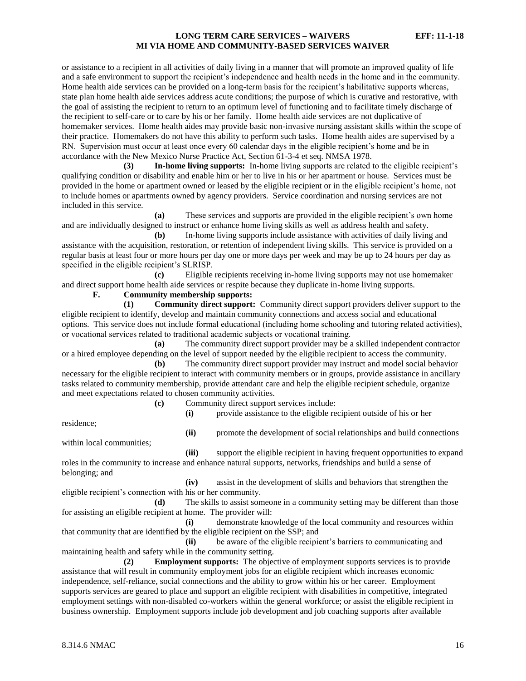or assistance to a recipient in all activities of daily living in a manner that will promote an improved quality of life and a safe environment to support the recipient's independence and health needs in the home and in the community. Home health aide services can be provided on a long-term basis for the recipient's habilitative supports whereas, state plan home health aide services address acute conditions; the purpose of which is curative and restorative, with the goal of assisting the recipient to return to an optimum level of functioning and to facilitate timely discharge of the recipient to self-care or to care by his or her family. Home health aide services are not duplicative of homemaker services. Home health aides may provide basic non-invasive nursing assistant skills within the scope of their practice. Homemakers do not have this ability to perform such tasks. Home health aides are supervised by a RN. Supervision must occur at least once every 60 calendar days in the eligible recipient's home and be in accordance with the New Mexico Nurse Practice Act, Section 61-3-4 et seq. NMSA 1978.

**(3) In-home living supports:** In-home living supports are related to the eligible recipient's qualifying condition or disability and enable him or her to live in his or her apartment or house. Services must be provided in the home or apartment owned or leased by the eligible recipient or in the eligible recipient's home, not to include homes or apartments owned by agency providers. Service coordination and nursing services are not included in this service.

**(a)** These services and supports are provided in the eligible recipient's own home and are individually designed to instruct or enhance home living skills as well as address health and safety.

**(b)** In-home living supports include assistance with activities of daily living and assistance with the acquisition, restoration, or retention of independent living skills. This service is provided on a regular basis at least four or more hours per day one or more days per week and may be up to 24 hours per day as specified in the eligible recipient's SLRISP.

**(c)** Eligible recipients receiving in-home living supports may not use homemaker and direct support home health aide services or respite because they duplicate in-home living supports.

#### **F. Community membership supports:**

**(1) Community direct support:** Community direct support providers deliver support to the eligible recipient to identify, develop and maintain community connections and access social and educational options. This service does not include formal educational (including home schooling and tutoring related activities), or vocational services related to traditional academic subjects or vocational training.

**(a)** The community direct support provider may be a skilled independent contractor or a hired employee depending on the level of support needed by the eligible recipient to access the community.

**(b)** The community direct support provider may instruct and model social behavior necessary for the eligible recipient to interact with community members or in groups, provide assistance in ancillary tasks related to community membership, provide attendant care and help the eligible recipient schedule, organize and meet expectations related to chosen community activities.

**(c)** Community direct support services include:

**(i)** provide assistance to the eligible recipient outside of his or her

residence;

within local communities;

**(ii)** promote the development of social relationships and build connections

**(iii)** support the eligible recipient in having frequent opportunities to expand roles in the community to increase and enhance natural supports, networks, friendships and build a sense of belonging; and

**(iv)** assist in the development of skills and behaviors that strengthen the eligible recipient's connection with his or her community.

**(d)** The skills to assist someone in a community setting may be different than those for assisting an eligible recipient at home. The provider will:

**(i)** demonstrate knowledge of the local community and resources within that community that are identified by the eligible recipient on the SSP; and

**(ii)** be aware of the eligible recipient's barriers to communicating and maintaining health and safety while in the community setting.

**(2) Employment supports:** The objective of employment supports services is to provide assistance that will result in community employment jobs for an eligible recipient which increases economic independence, self-reliance, social connections and the ability to grow within his or her career. Employment supports services are geared to place and support an eligible recipient with disabilities in competitive, integrated employment settings with non-disabled co-workers within the general workforce; or assist the eligible recipient in business ownership. Employment supports include job development and job coaching supports after available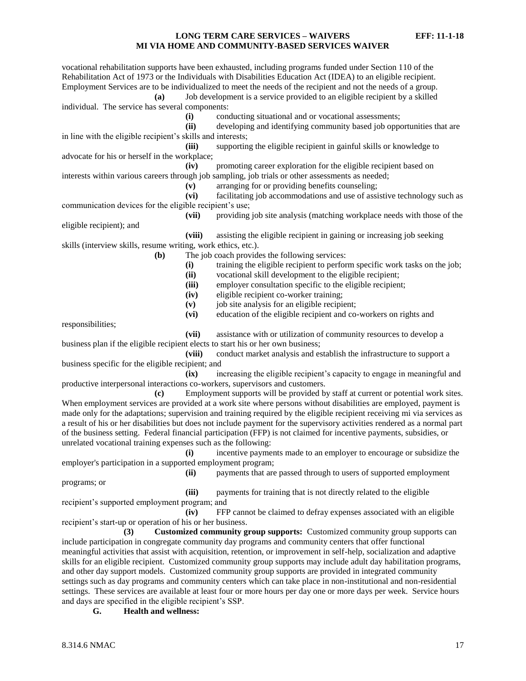vocational rehabilitation supports have been exhausted, including programs funded under Section 110 of the Rehabilitation Act of 1973 or the Individuals with Disabilities Education Act (IDEA) to an eligible recipient. Employment Services are to be individualized to meet the needs of the recipient and not the needs of a group. **(a)** Job development is a service provided to an eligible recipient by a skilled individual. The service has several components: **(i)** conducting situational and or vocational assessments; **(ii)** developing and identifying community based job opportunities that are in line with the eligible recipient's skills and interests; **(iii)** supporting the eligible recipient in gainful skills or knowledge to advocate for his or herself in the workplace; **(iv)** promoting career exploration for the eligible recipient based on interests within various careers through job sampling, job trials or other assessments as needed; **(v)** arranging for or providing benefits counseling; **(vi)** facilitating job accommodations and use of assistive technology such as communication devices for the eligible recipient's use; **(vii)** providing job site analysis (matching workplace needs with those of the eligible recipient); and **(viii)** assisting the eligible recipient in gaining or increasing job seeking skills (interview skills, resume writing, work ethics, etc.). **(b)** The job coach provides the following services: **(i)** training the eligible recipient to perform specific work tasks on the job; **(ii)** vocational skill development to the eligible recipient; **(iii)** employer consultation specific to the eligible recipient; **(iv)** eligible recipient co-worker training; **(v)** job site analysis for an eligible recipient; **(vi)** education of the eligible recipient and co-workers on rights and responsibilities; **(vii)** assistance with or utilization of community resources to develop a business plan if the eligible recipient elects to start his or her own business; **(viii)** conduct market analysis and establish the infrastructure to support a business specific for the eligible recipient; and **(ix)** increasing the eligible recipient's capacity to engage in meaningful and productive interpersonal interactions co-workers, supervisors and customers. **(c)** Employment supports will be provided by staff at current or potential work sites. When employment services are provided at a work site where persons without disabilities are employed, payment is made only for the adaptations; supervision and training required by the eligible recipient receiving mi via services as a result of his or her disabilities but does not include payment for the supervisory activities rendered as a normal part of the business setting. Federal financial participation (FFP) is not claimed for incentive payments, subsidies, or unrelated vocational training expenses such as the following: **(i)** incentive payments made to an employer to encourage or subsidize the employer's participation in a supported employment program; **(ii)** payments that are passed through to users of supported employment programs; or **(iii)** payments for training that is not directly related to the eligible recipient's supported employment program; and

**(iv)** FFP cannot be claimed to defray expenses associated with an eligible recipient's start-up or operation of his or her business.

**(3) Customized community group supports:** Customized community group supports can include participation in congregate community day programs and community centers that offer functional meaningful activities that assist with acquisition, retention, or improvement in self-help, socialization and adaptive skills for an eligible recipient. Customized community group supports may include adult day habilitation programs, and other day support models. Customized community group supports are provided in integrated community settings such as day programs and community centers which can take place in non-institutional and non-residential settings. These services are available at least four or more hours per day one or more days per week. Service hours and days are specified in the eligible recipient's SSP.

**G. Health and wellness:**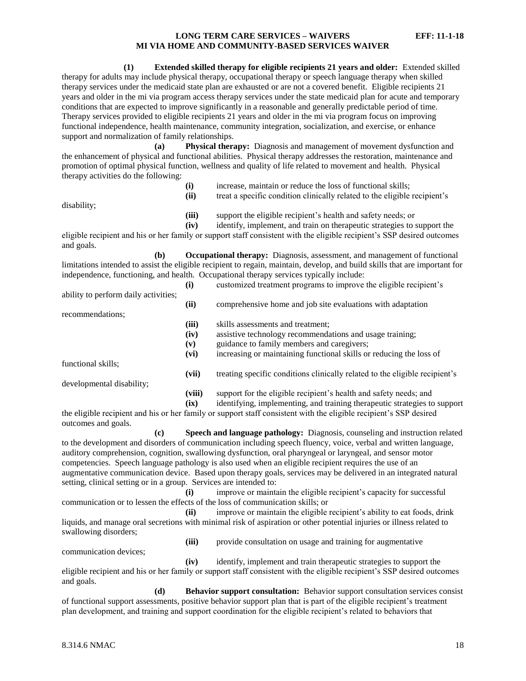**(1) Extended skilled therapy for eligible recipients 21 years and older:** Extended skilled therapy for adults may include physical therapy, occupational therapy or speech language therapy when skilled therapy services under the medicaid state plan are exhausted or are not a covered benefit. Eligible recipients 21 years and older in the mi via program access therapy services under the state medicaid plan for acute and temporary conditions that are expected to improve significantly in a reasonable and generally predictable period of time. Therapy services provided to eligible recipients 21 years and older in the mi via program focus on improving functional independence, health maintenance, community integration, socialization, and exercise, or enhance support and normalization of family relationships.

**(a) Physical therapy:** Diagnosis and management of movement dysfunction and the enhancement of physical and functional abilities. Physical therapy addresses the restoration, maintenance and promotion of optimal physical function, wellness and quality of life related to movement and health. Physical therapy activities do the following:

| disability; | (i)<br>(ii)   | increase, maintain or reduce the loss of functional skills;<br>treat a specific condition clinically related to the eligible recipient's |
|-------------|---------------|------------------------------------------------------------------------------------------------------------------------------------------|
|             | (iii)<br>(iv) | support the eligible recipient's health and safety needs; or<br>identify, implement, and train on therapeutic strategies to support the  |

eligible recipient and his or her family or support staff consistent with the eligible recipient's SSP desired outcomes and goals.

**(b) Occupational therapy:** Diagnosis, assessment, and management of functional limitations intended to assist the eligible recipient to regain, maintain, develop, and build skills that are important for independence, functioning, and health. Occupational therapy services typically include:

|                                      | (i)            | customized treatment programs to improve the eligible recipient's                                                                              |
|--------------------------------------|----------------|------------------------------------------------------------------------------------------------------------------------------------------------|
| ability to perform daily activities; | (ii)           | comprehensive home and job site evaluations with adaptation                                                                                    |
| recommendations;                     |                |                                                                                                                                                |
|                                      | (iii)          | skills assessments and treatment:                                                                                                              |
|                                      | (iv)           | assistive technology recommendations and usage training;                                                                                       |
|                                      | (v)            | guidance to family members and caregivers;                                                                                                     |
|                                      | (vi)           | increasing or maintaining functional skills or reducing the loss of                                                                            |
| functional skills;                   |                |                                                                                                                                                |
|                                      | (vii)          | treating specific conditions clinically related to the eligible recipient's                                                                    |
| developmental disability;            |                |                                                                                                                                                |
|                                      | (viii)<br>(ix) | support for the eligible recipient's health and safety needs; and<br>identifying, implementing, and training therapeutic strategies to support |

the eligible recipient and his or her family or support staff consistent with the eligible recipient's SSP desired outcomes and goals.

**(c) Speech and language pathology:** Diagnosis, counseling and instruction related to the development and disorders of communication including speech fluency, voice, verbal and written language, auditory comprehension, cognition, swallowing dysfunction, oral pharyngeal or laryngeal, and sensor motor competencies. Speech language pathology is also used when an eligible recipient requires the use of an augmentative communication device. Based upon therapy goals, services may be delivered in an integrated natural setting, clinical setting or in a group. Services are intended to:

**(i)** improve or maintain the eligible recipient's capacity for successful communication or to lessen the effects of the loss of communication skills; or

**(ii)** improve or maintain the eligible recipient's ability to eat foods, drink liquids, and manage oral secretions with minimal risk of aspiration or other potential injuries or illness related to swallowing disorders;

communication devices;

**(iii)** provide consultation on usage and training for augmentative

**(iv)** identify, implement and train therapeutic strategies to support the eligible recipient and his or her family or support staff consistent with the eligible recipient's SSP desired outcomes and goals.

**(d) Behavior support consultation:** Behavior support consultation services consist of functional support assessments, positive behavior support plan that is part of the eligible recipient's treatment plan development, and training and support coordination for the eligible recipient's related to behaviors that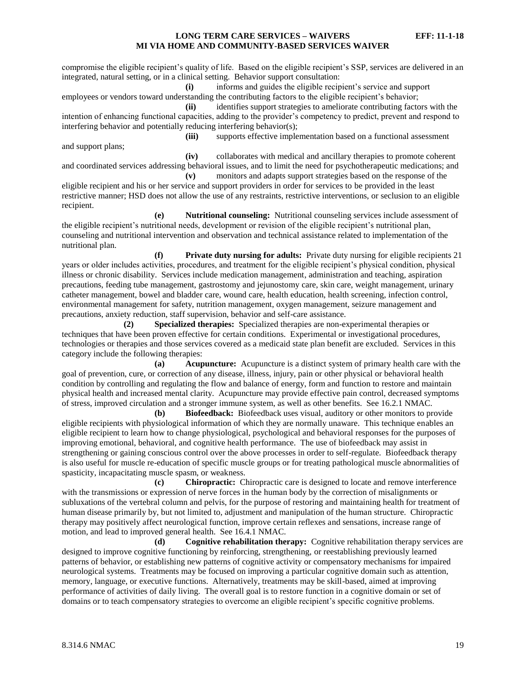compromise the eligible recipient's quality of life. Based on the eligible recipient's SSP, services are delivered in an integrated, natural setting, or in a clinical setting. Behavior support consultation:

**(i)** informs and guides the eligible recipient's service and support employees or vendors toward understanding the contributing factors to the eligible recipient's behavior;

**(ii)** identifies support strategies to ameliorate contributing factors with the intention of enhancing functional capacities, adding to the provider's competency to predict, prevent and respond to interfering behavior and potentially reducing interfering behavior(s);

and support plans;

**(iii)** supports effective implementation based on a functional assessment

**(iv)** collaborates with medical and ancillary therapies to promote coherent and coordinated services addressing behavioral issues, and to limit the need for psychotherapeutic medications; and **(v)** monitors and adapts support strategies based on the response of the

eligible recipient and his or her service and support providers in order for services to be provided in the least restrictive manner; HSD does not allow the use of any restraints, restrictive interventions, or seclusion to an eligible recipient.

**(e) Nutritional counseling:** Nutritional counseling services include assessment of the eligible recipient's nutritional needs, development or revision of the eligible recipient's nutritional plan, counseling and nutritional intervention and observation and technical assistance related to implementation of the nutritional plan.

**(f) Private duty nursing for adults:** Private duty nursing for eligible recipients 21 years or older includes activities, procedures, and treatment for the eligible recipient's physical condition, physical illness or chronic disability. Services include medication management, administration and teaching, aspiration precautions, feeding tube management, gastrostomy and jejunostomy care, skin care, weight management, urinary catheter management, bowel and bladder care, wound care, health education, health screening, infection control, environmental management for safety, nutrition management, oxygen management, seizure management and precautions, anxiety reduction, staff supervision, behavior and self-care assistance.

**(2) Specialized therapies:** Specialized therapies are non-experimental therapies or techniques that have been proven effective for certain conditions. Experimental or investigational procedures, technologies or therapies and those services covered as a medicaid state plan benefit are excluded. Services in this category include the following therapies:

**(a) Acupuncture:** Acupuncture is a distinct system of primary health care with the goal of prevention, cure, or correction of any disease, illness, injury, pain or other physical or behavioral health condition by controlling and regulating the flow and balance of energy, form and function to restore and maintain physical health and increased mental clarity. Acupuncture may provide effective pain control, decreased symptoms of stress, improved circulation and a stronger immune system, as well as other benefits. See 16.2.1 NMAC.

**(b) Biofeedback:** Biofeedback uses visual, auditory or other monitors to provide eligible recipients with physiological information of which they are normally unaware. This technique enables an eligible recipient to learn how to change physiological, psychological and behavioral responses for the purposes of improving emotional, behavioral, and cognitive health performance. The use of biofeedback may assist in strengthening or gaining conscious control over the above processes in order to self-regulate. Biofeedback therapy is also useful for muscle re-education of specific muscle groups or for treating pathological muscle abnormalities of spasticity, incapacitating muscle spasm, or weakness.

**(c) Chiropractic:** Chiropractic care is designed to locate and remove interference with the transmissions or expression of nerve forces in the human body by the correction of misalignments or subluxations of the vertebral column and pelvis, for the purpose of restoring and maintaining health for treatment of human disease primarily by, but not limited to, adjustment and manipulation of the human structure. Chiropractic therapy may positively affect neurological function, improve certain reflexes and sensations, increase range of motion, and lead to improved general health. See 16.4.1 NMAC.

**(d) Cognitive rehabilitation therapy:** Cognitive rehabilitation therapy services are designed to improve cognitive functioning by reinforcing, strengthening, or reestablishing previously learned patterns of behavior, or establishing new patterns of cognitive activity or compensatory mechanisms for impaired neurological systems. Treatments may be focused on improving a particular cognitive domain such as attention, memory, language, or executive functions. Alternatively, treatments may be skill-based, aimed at improving performance of activities of daily living. The overall goal is to restore function in a cognitive domain or set of domains or to teach compensatory strategies to overcome an eligible recipient's specific cognitive problems.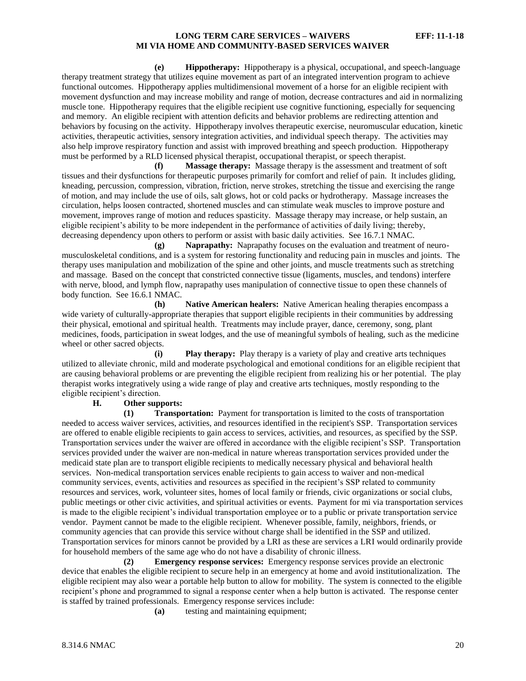**(e) Hippotherapy:** Hippotherapy is a physical, occupational, and speech-language therapy treatment strategy that utilizes equine movement as part of an integrated intervention program to achieve functional outcomes. Hippotherapy applies multidimensional movement of a horse for an eligible recipient with movement dysfunction and may increase mobility and range of motion, decrease contractures and aid in normalizing muscle tone. Hippotherapy requires that the eligible recipient use cognitive functioning, especially for sequencing and memory. An eligible recipient with attention deficits and behavior problems are redirecting attention and behaviors by focusing on the activity. Hippotherapy involves therapeutic exercise, neuromuscular education, kinetic activities, therapeutic activities, sensory integration activities, and individual speech therapy. The activities may also help improve respiratory function and assist with improved breathing and speech production. Hippotherapy must be performed by a RLD licensed physical therapist, occupational therapist, or speech therapist.

**(f) Massage therapy:** Massage therapy is the assessment and treatment of soft tissues and their dysfunctions for therapeutic purposes primarily for comfort and relief of pain. It includes gliding, kneading, percussion, compression, vibration, friction, nerve strokes, stretching the tissue and exercising the range of motion, and may include the use of oils, salt glows, hot or cold packs or hydrotherapy. Massage increases the circulation, helps loosen contracted, shortened muscles and can stimulate weak muscles to improve posture and movement, improves range of motion and reduces spasticity. Massage therapy may increase, or help sustain, an eligible recipient's ability to be more independent in the performance of activities of daily living; thereby, decreasing dependency upon others to perform or assist with basic daily activities. See 16.7.1 NMAC.

**(g) Naprapathy:** Naprapathy focuses on the evaluation and treatment of neuromusculoskeletal conditions, and is a system for restoring functionality and reducing pain in muscles and joints. The therapy uses manipulation and mobilization of the spine and other joints, and muscle treatments such as stretching and massage. Based on the concept that constricted connective tissue (ligaments, muscles, and tendons) interfere with nerve, blood, and lymph flow, naprapathy uses manipulation of connective tissue to open these channels of body function. See 16.6.1 NMAC.

**(h) Native American healers:** Native American healing therapies encompass a wide variety of culturally-appropriate therapies that support eligible recipients in their communities by addressing their physical, emotional and spiritual health. Treatments may include prayer, dance, ceremony, song, plant medicines, foods, participation in sweat lodges, and the use of meaningful symbols of healing, such as the medicine wheel or other sacred objects.

**Play therapy:** Play therapy is a variety of play and creative arts techniques utilized to alleviate chronic, mild and moderate psychological and emotional conditions for an eligible recipient that are causing behavioral problems or are preventing the eligible recipient from realizing his or her potential. The play therapist works integratively using a wide range of play and creative arts techniques, mostly responding to the eligible recipient's direction.

# **H. Other supports:**

**(1) Transportation:** Payment for transportation is limited to the costs of transportation needed to access waiver services, activities, and resources identified in the recipient's SSP. Transportation services are offered to enable eligible recipients to gain access to services, activities, and resources, as specified by the SSP. Transportation services under the waiver are offered in accordance with the eligible recipient's SSP. Transportation services provided under the waiver are non-medical in nature whereas transportation services provided under the medicaid state plan are to transport eligible recipients to medically necessary physical and behavioral health services. Non-medical transportation services enable recipients to gain access to waiver and non-medical community services, events, activities and resources as specified in the recipient's SSP related to community resources and services, work, volunteer sites, homes of local family or friends, civic organizations or social clubs, public meetings or other civic activities, and spiritual activities or events. Payment for mi via transportation services is made to the eligible recipient's individual transportation employee or to a public or private transportation service vendor. Payment cannot be made to the eligible recipient. Whenever possible, family, neighbors, friends, or community agencies that can provide this service without charge shall be identified in the SSP and utilized. Transportation services for minors cannot be provided by a LRI as these are services a LRI would ordinarily provide for household members of the same age who do not have a disability of chronic illness.

**(2) Emergency response services:** Emergency response services provide an electronic device that enables the eligible recipient to secure help in an emergency at home and avoid institutionalization. The eligible recipient may also wear a portable help button to allow for mobility. The system is connected to the eligible recipient's phone and programmed to signal a response center when a help button is activated. The response center is staffed by trained professionals. Emergency response services include:

**(a)** testing and maintaining equipment;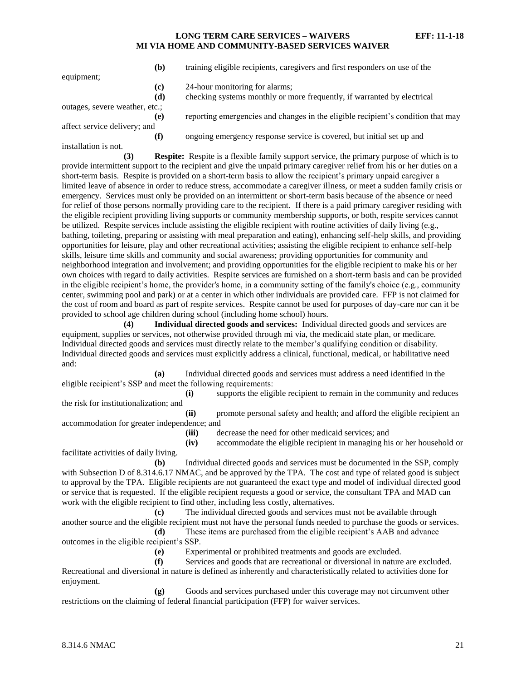|                                | (b) | training eligible recipients, caregivers and first responders on use of the                                                                                            |
|--------------------------------|-----|------------------------------------------------------------------------------------------------------------------------------------------------------------------------|
| equipment;                     |     |                                                                                                                                                                        |
|                                | (c) | 24-hour monitoring for alarms;                                                                                                                                         |
|                                | (d) | checking systems monthly or more frequently, if warranted by electrical                                                                                                |
| outages, severe weather, etc.; |     |                                                                                                                                                                        |
|                                | (e) | reporting emergencies and changes in the eligible recipient's condition that may                                                                                       |
| affect service delivery; and   |     |                                                                                                                                                                        |
|                                | (f) | ongoing emergency response service is covered, but initial set up and                                                                                                  |
| installation is not.           |     |                                                                                                                                                                        |
| (2)                            |     | $\mathbf{n}$ , and the $\mathbf{n}$ saturates and $\mathbf{n}$ and $\mathbf{n}$ are the set of the same set of $\mathbf{n}$ and $\mathbf{n}$ are the same $\mathbf{n}$ |

**(3) Respite:** Respite is a flexible family support service, the primary purpose of which is to provide intermittent support to the recipient and give the unpaid primary caregiver relief from his or her duties on a short-term basis. Respite is provided on a short-term basis to allow the recipient's primary unpaid caregiver a limited leave of absence in order to reduce stress, accommodate a caregiver illness, or meet a sudden family crisis or emergency. Services must only be provided on an intermittent or short-term basis because of the absence or need for relief of those persons normally providing care to the recipient. If there is a paid primary caregiver residing with the eligible recipient providing living supports or community membership supports, or both, respite services cannot be utilized. Respite services include assisting the eligible recipient with routine activities of daily living (e.g., bathing, toileting, preparing or assisting with meal preparation and eating), enhancing self-help skills, and providing opportunities for leisure, play and other recreational activities; assisting the eligible recipient to enhance self-help skills, leisure time skills and community and social awareness; providing opportunities for community and neighborhood integration and involvement; and providing opportunities for the eligible recipient to make his or her own choices with regard to daily activities. Respite services are furnished on a short-term basis and can be provided in the eligible recipient's home, the provider's home, in a community setting of the family's choice (e.g., community center, swimming pool and park) or at a center in which other individuals are provided care. FFP is not claimed for the cost of room and board as part of respite services. Respite cannot be used for purposes of day-care nor can it be provided to school age children during school (including home school) hours.

**(4) Individual directed goods and services:** Individual directed goods and services are equipment, supplies or services, not otherwise provided through mi via, the medicaid state plan, or medicare. Individual directed goods and services must directly relate to the member's qualifying condition or disability. Individual directed goods and services must explicitly address a clinical, functional, medical, or habilitative need and:

**(a)** Individual directed goods and services must address a need identified in the eligible recipient's SSP and meet the following requirements:

**(i)** supports the eligible recipient to remain in the community and reduces the risk for institutionalization; and

**(ii)** promote personal safety and health; and afford the eligible recipient an accommodation for greater independence; and

**(iii)** decrease the need for other medicaid services; and

**(iv)** accommodate the eligible recipient in managing his or her household or facilitate activities of daily living.

**(b)** Individual directed goods and services must be documented in the SSP, comply with Subsection D of 8.314.6.17 NMAC, and be approved by the TPA. The cost and type of related good is subject to approval by the TPA. Eligible recipients are not guaranteed the exact type and model of individual directed good or service that is requested. If the eligible recipient requests a good or service, the consultant TPA and MAD can work with the eligible recipient to find other, including less costly, alternatives.

**(c)** The individual directed goods and services must not be available through another source and the eligible recipient must not have the personal funds needed to purchase the goods or services. **(d)** These items are purchased from the eligible recipient's AAB and advance

outcomes in the eligible recipient's SSP.

**(e)** Experimental or prohibited treatments and goods are excluded.

**(f)** Services and goods that are recreational or diversional in nature are excluded. Recreational and diversional in nature is defined as inherently and characteristically related to activities done for enjoyment.

**(g)** Goods and services purchased under this coverage may not circumvent other restrictions on the claiming of federal financial participation (FFP) for waiver services.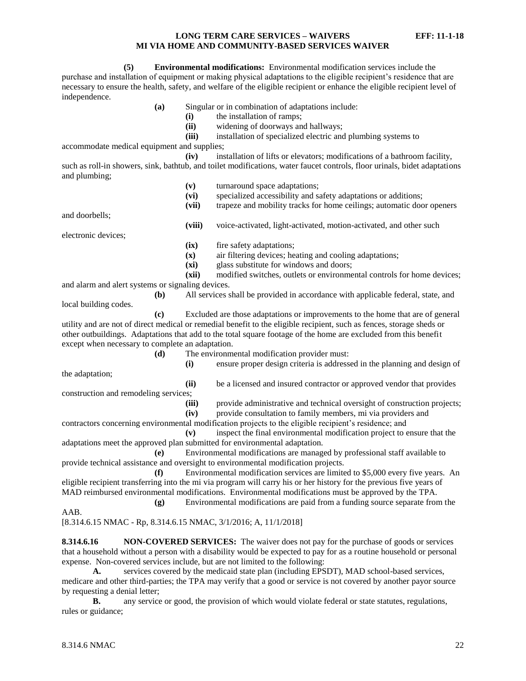**(5) Environmental modifications:** Environmental modification services include the purchase and installation of equipment or making physical adaptations to the eligible recipient's residence that are necessary to ensure the health, safety, and welfare of the eligible recipient or enhance the eligible recipient level of independence.

- **(a)** Singular or in combination of adaptations include:
	- **(i)** the installation of ramps;
	- **(ii)** widening of doorways and hallways;

**(iii)** installation of specialized electric and plumbing systems to accommodate medical equipment and supplies;

**(iv)** installation of lifts or elevators; modifications of a bathroom facility, such as roll-in showers, sink, bathtub, and toilet modifications, water faucet controls, floor urinals, bidet adaptations

and plumbing; **(v)** turnaround space adaptations; **(vi)** specialized accessibility and safety adaptations or additions; **(vii)** trapeze and mobility tracks for home ceilings; automatic door openers and doorbells; **(viii)** voice-activated, light-activated, motion-activated, and other such electronic devices; **(ix)** fire safety adaptations; **(x)** air filtering devices; heating and cooling adaptations; **(xi)** glass substitute for windows and doors; **(xii)** modified switches, outlets or environmental controls for home devices; and alarm and alert systems or signaling devices. **(b)** All services shall be provided in accordance with applicable federal, state, and local building codes. **(c)** Excluded are those adaptations or improvements to the home that are of general utility and are not of direct medical or remedial benefit to the eligible recipient, such as fences, storage sheds or other outbuildings. Adaptations that add to the total square footage of the home are excluded from this benefit except when necessary to complete an adaptation. **(d)** The environmental modification provider must: **(i)** ensure proper design criteria is addressed in the planning and design of the adaptation; **(ii)** be a licensed and insured contractor or approved vendor that provides construction and remodeling services; (iii) provide administrative and technical oversight of construction projects; **(iv)** provide consultation to family members, mi via providers and contractors concerning environmental modification projects to the eligible recipient's residence; and **(v)** inspect the final environmental modification project to ensure that the adaptations meet the approved plan submitted for environmental adaptation.

**(e)** Environmental modifications are managed by professional staff available to provide technical assistance and oversight to environmental modification projects.

**(f)** Environmental modification services are limited to \$5,000 every five years. An eligible recipient transferring into the mi via program will carry his or her history for the previous five years of MAD reimbursed environmental modifications. Environmental modifications must be approved by the TPA.

**(g)** Environmental modifications are paid from a funding source separate from the AAB.

[8.314.6.15 NMAC - Rp, 8.314.6.15 NMAC, 3/1/2016; A, 11/1/2018]

<span id="page-22-0"></span>**8.314.6.16 NON-COVERED SERVICES:** The waiver does not pay for the purchase of goods or services that a household without a person with a disability would be expected to pay for as a routine household or personal expense. Non-covered services include, but are not limited to the following:

**A.** services covered by the medicaid state plan (including EPSDT), MAD school-based services, medicare and other third-parties; the TPA may verify that a good or service is not covered by another payor source by requesting a denial letter;

**B.** any service or good, the provision of which would violate federal or state statutes, regulations, rules or guidance;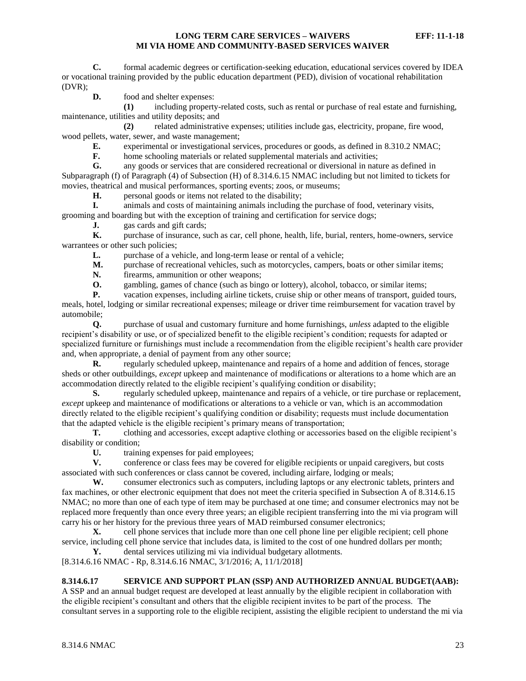**C.** formal academic degrees or certification-seeking education, educational services covered by IDEA or vocational training provided by the public education department (PED), division of vocational rehabilitation (DVR);

**D.** food and shelter expenses:

**(1)** including property-related costs, such as rental or purchase of real estate and furnishing, maintenance, utilities and utility deposits; and

**(2)** related administrative expenses; utilities include gas, electricity, propane, fire wood, wood pellets, water, sewer, and waste management;

**E.** experimental or investigational services, procedures or goods, as defined in 8.310.2 NMAC;<br>**F.** home schooling materials or related supplemental materials and activities:

home schooling materials or related supplemental materials and activities;

**G.** any goods or services that are considered recreational or diversional in nature as defined in Subparagraph (f) of Paragraph (4) of Subsection (H) of 8.314.6.15 NMAC including but not limited to tickets for movies, theatrical and musical performances, sporting events; zoos, or museums;

**H.** personal goods or items not related to the disability;

**I.** animals and costs of maintaining animals including the purchase of food, veterinary visits, grooming and boarding but with the exception of training and certification for service dogs;

**J.** gas cards and gift cards;

**K.** purchase of insurance, such as car, cell phone, health, life, burial, renters, home-owners, service warrantees or other such policies;

L. purchase of a vehicle, and long-term lease or rental of a vehicle;

**M.** purchase of recreational vehicles, such as motorcycles, campers, boats or other similar items;

**N.** firearms, ammunition or other weapons;

**O.** gambling, games of chance (such as bingo or lottery), alcohol, tobacco, or similar items;

**P.** vacation expenses, including airline tickets, cruise ship or other means of transport, guided tours, meals, hotel, lodging or similar recreational expenses; mileage or driver time reimbursement for vacation travel by automobile;

**Q.** purchase of usual and customary furniture and home furnishings, *unless* adapted to the eligible recipient's disability or use, or of specialized benefit to the eligible recipient's condition; requests for adapted or specialized furniture or furnishings must include a recommendation from the eligible recipient's health care provider and, when appropriate, a denial of payment from any other source;

**R.** regularly scheduled upkeep, maintenance and repairs of a home and addition of fences, storage sheds or other outbuildings, *except* upkeep and maintenance of modifications or alterations to a home which are an accommodation directly related to the eligible recipient's qualifying condition or disability;

**S.** regularly scheduled upkeep, maintenance and repairs of a vehicle, or tire purchase or replacement, *except* upkeep and maintenance of modifications or alterations to a vehicle or van, which is an accommodation directly related to the eligible recipient's qualifying condition or disability; requests must include documentation that the adapted vehicle is the eligible recipient's primary means of transportation;

**T.** clothing and accessories, except adaptive clothing or accessories based on the eligible recipient's disability or condition;

**U.** training expenses for paid employees;

**V.** conference or class fees may be covered for eligible recipients or unpaid caregivers, but costs associated with such conferences or class cannot be covered, including airfare, lodging or meals;

**W.** consumer electronics such as computers, including laptops or any electronic tablets, printers and fax machines, or other electronic equipment that does not meet the criteria specified in Subsection A of 8.314.6.15 NMAC; no more than one of each type of item may be purchased at one time; and consumer electronics may not be replaced more frequently than once every three years; an eligible recipient transferring into the mi via program will carry his or her history for the previous three years of MAD reimbursed consumer electronics;

**X.** cell phone services that include more than one cell phone line per eligible recipient; cell phone service, including cell phone service that includes data, is limited to the cost of one hundred dollars per month;

**Y.** dental services utilizing mi via individual budgetary allotments.

[8.314.6.16 NMAC - Rp, 8.314.6.16 NMAC, 3/1/2016; A, 11/1/2018]

# <span id="page-23-0"></span>**8.314.6.17 SERVICE AND SUPPORT PLAN (SSP) AND AUTHORIZED ANNUAL BUDGET(AAB):**

A SSP and an annual budget request are developed at least annually by the eligible recipient in collaboration with the eligible recipient's consultant and others that the eligible recipient invites to be part of the process. The consultant serves in a supporting role to the eligible recipient, assisting the eligible recipient to understand the mi via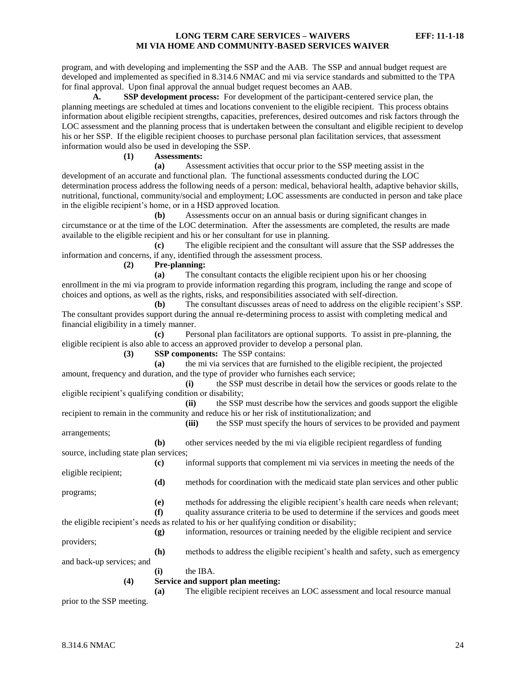program, and with developing and implementing the SSP and the AAB. The SSP and annual budget request are developed and implemented as specified in 8.314.6 NMAC and mi via service standards and submitted to the TPA for final approval. Upon final approval the annual budget request becomes an AAB.

**A. SSP development process:** For development of the participant-centered service plan, the planning meetings are scheduled at times and locations convenient to the eligible recipient. This process obtains information about eligible recipient strengths, capacities, preferences, desired outcomes and risk factors through the LOC assessment and the planning process that is undertaken between the consultant and eligible recipient to develop his or her SSP. If the eligible recipient chooses to purchase personal plan facilitation services, that assessment information would also be used in developing the SSP.

**(1) Assessments:**

**(a)** Assessment activities that occur prior to the SSP meeting assist in the development of an accurate and functional plan. The functional assessments conducted during the LOC determination process address the following needs of a person: medical, behavioral health, adaptive behavior skills, nutritional, functional, community/social and employment; LOC assessments are conducted in person and take place in the eligible recipient's home, or in a HSD approved location.

**(b)** Assessments occur on an annual basis or during significant changes in circumstance or at the time of the LOC determination. After the assessments are completed, the results are made available to the eligible recipient and his or her consultant for use in planning.

**(c)** The eligible recipient and the consultant will assure that the SSP addresses the information and concerns, if any, identified through the assessment process.

**(2) Pre-planning:**

**(a)** The consultant contacts the eligible recipient upon his or her choosing enrollment in the mi via program to provide information regarding this program, including the range and scope of choices and options, as well as the rights, risks, and responsibilities associated with self-direction.

**(b)** The consultant discusses areas of need to address on the eligible recipient's SSP. The consultant provides support during the annual re-determining process to assist with completing medical and financial eligibility in a timely manner.

**(c)** Personal plan facilitators are optional supports. To assist in pre-planning, the eligible recipient is also able to access an approved provider to develop a personal plan.

**(3) SSP components:** The SSP contains:

**(a)** the mi via services that are furnished to the eligible recipient, the projected amount, frequency and duration, and the type of provider who furnishes each service;

**(i)** the SSP must describe in detail how the services or goods relate to the eligible recipient's qualifying condition or disability;

**(ii)** the SSP must describe how the services and goods support the eligible recipient to remain in the community and reduce his or her risk of institutionalization; and

**(iii)** the SSP must specify the hours of services to be provided and payment

**(b)** other services needed by the mi via eligible recipient regardless of funding source, including state plan services;

**(c)** informal supports that complement mi via services in meeting the needs of the eligible recipient;

**(d)** methods for coordination with the medicaid state plan services and other public programs;

**(e)** methods for addressing the eligible recipient's health care needs when relevant; **(f)** quality assurance criteria to be used to determine if the services and goods meet

- the eligible recipient's needs as related to his or her qualifying condition or disability;
- **(g)** information, resources or training needed by the eligible recipient and service providers;

**(h)** methods to address the eligible recipient's health and safety, such as emergency

and back-up services; and

**(i)** the IBA.

#### **(4) Service and support plan meeting:**

**(a)** The eligible recipient receives an LOC assessment and local resource manual

prior to the SSP meeting.

arrangements;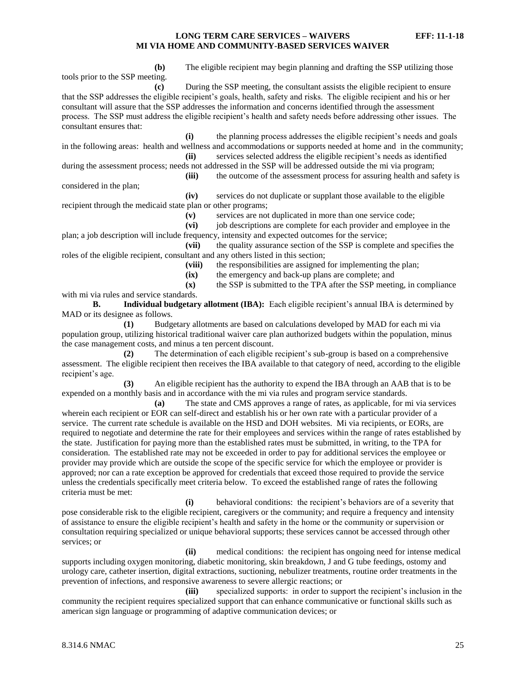**(b)** The eligible recipient may begin planning and drafting the SSP utilizing those tools prior to the SSP meeting. **(c)** During the SSP meeting, the consultant assists the eligible recipient to ensure

that the SSP addresses the eligible recipient's goals, health, safety and risks. The eligible recipient and his or her consultant will assure that the SSP addresses the information and concerns identified through the assessment process. The SSP must address the eligible recipient's health and safety needs before addressing other issues. The consultant ensures that:

**(i)** the planning process addresses the eligible recipient's needs and goals in the following areas: health and wellness and accommodations or supports needed at home and in the community; **(ii)** services selected address the eligible recipient's needs as identified

during the assessment process; needs not addressed in the SSP will be addressed outside the mi via program; **(iii)** the outcome of the assessment process for assuring health and safety is

considered in the plan;

**(iv)** services do not duplicate or supplant those available to the eligible recipient through the medicaid state plan or other programs;

**(v)** services are not duplicated in more than one service code;

**(vi)** job descriptions are complete for each provider and employee in the plan; a job description will include frequency, intensity and expected outcomes for the service;

**(vii)** the quality assurance section of the SSP is complete and specifies the roles of the eligible recipient, consultant and any others listed in this section;

**(viii)** the responsibilities are assigned for implementing the plan;

**(ix)** the emergency and back-up plans are complete; and

**(x)** the SSP is submitted to the TPA after the SSP meeting, in compliance with mi via rules and service standards. **B. Individual budgetary allotment (IBA):** Each eligible recipient's annual IBA is determined by

MAD or its designee as follows.

**(1)** Budgetary allotments are based on calculations developed by MAD for each mi via population group, utilizing historical traditional waiver care plan authorized budgets within the population, minus the case management costs, and minus a ten percent discount.

**(2)** The determination of each eligible recipient's sub-group is based on a comprehensive assessment. The eligible recipient then receives the IBA available to that category of need, according to the eligible recipient's age.

**(3)** An eligible recipient has the authority to expend the IBA through an AAB that is to be expended on a monthly basis and in accordance with the mi via rules and program service standards.

**(a)** The state and CMS approves a range of rates, as applicable, for mi via services wherein each recipient or EOR can self-direct and establish his or her own rate with a particular provider of a service. The current rate schedule is available on the HSD and DOH websites. Mi via recipients, or EORs, are required to negotiate and determine the rate for their employees and services within the range of rates established by the state. Justification for paying more than the established rates must be submitted, in writing, to the TPA for consideration. The established rate may not be exceeded in order to pay for additional services the employee or provider may provide which are outside the scope of the specific service for which the employee or provider is approved; nor can a rate exception be approved for credentials that exceed those required to provide the service unless the credentials specifically meet criteria below. To exceed the established range of rates the following criteria must be met:

**(i)** behavioral conditions: the recipient's behaviors are of a severity that pose considerable risk to the eligible recipient, caregivers or the community; and require a frequency and intensity of assistance to ensure the eligible recipient's health and safety in the home or the community or supervision or consultation requiring specialized or unique behavioral supports; these services cannot be accessed through other services; or

**(ii)** medical conditions: the recipient has ongoing need for intense medical supports including oxygen monitoring, diabetic monitoring, skin breakdown, J and G tube feedings, ostomy and urology care, catheter insertion, digital extractions, suctioning, nebulizer treatments, routine order treatments in the prevention of infections, and responsive awareness to severe allergic reactions; or

**(iii)** specialized supports: in order to support the recipient's inclusion in the community the recipient requires specialized support that can enhance communicative or functional skills such as american sign language or programming of adaptive communication devices; or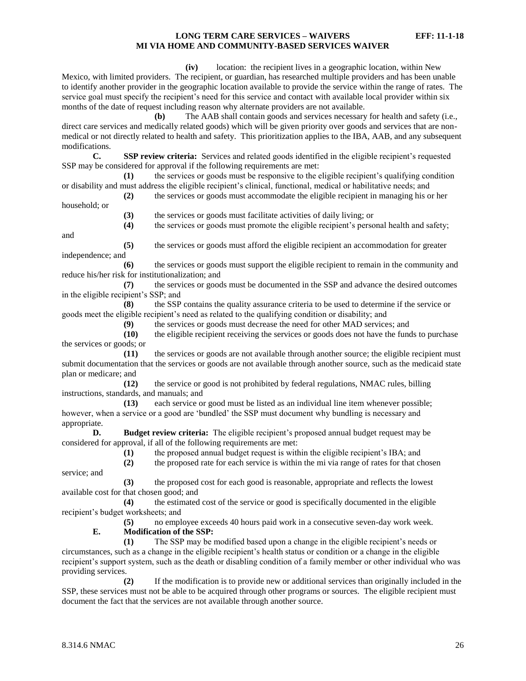**(iv)** location: the recipient lives in a geographic location, within New Mexico, with limited providers. The recipient, or guardian, has researched multiple providers and has been unable to identify another provider in the geographic location available to provide the service within the range of rates. The service goal must specify the recipient's need for this service and contact with available local provider within six months of the date of request including reason why alternate providers are not available.

**(b)** The AAB shall contain goods and services necessary for health and safety (i.e., direct care services and medically related goods) which will be given priority over goods and services that are nonmedical or not directly related to health and safety. This prioritization applies to the IBA, AAB, and any subsequent modifications.

**C. SSP review criteria:** Services and related goods identified in the eligible recipient's requested SSP may be considered for approval if the following requirements are met:

**(1)** the services or goods must be responsive to the eligible recipient's qualifying condition or disability and must address the eligible recipient's clinical, functional, medical or habilitative needs; and

- **(2)** the services or goods must accommodate the eligible recipient in managing his or her household; or
	- **(3)** the services or goods must facilitate activities of daily living; or

**(4)** the services or goods must promote the eligible recipient's personal health and safety;

and

**(5)** the services or goods must afford the eligible recipient an accommodation for greater independence; and

**(6)** the services or goods must support the eligible recipient to remain in the community and reduce his/her risk for institutionalization; and

**(7)** the services or goods must be documented in the SSP and advance the desired outcomes in the eligible recipient's SSP; and

**(8)** the SSP contains the quality assurance criteria to be used to determine if the service or goods meet the eligible recipient's need as related to the qualifying condition or disability; and

**(9)** the services or goods must decrease the need for other MAD services; and

**(10)** the eligible recipient receiving the services or goods does not have the funds to purchase the services or goods; or

**(11)** the services or goods are not available through another source; the eligible recipient must submit documentation that the services or goods are not available through another source, such as the medicaid state plan or medicare; and

**(12)** the service or good is not prohibited by federal regulations, NMAC rules, billing instructions, standards, and manuals; and

**(13)** each service or good must be listed as an individual line item whenever possible; however, when a service or a good are 'bundled' the SSP must document why bundling is necessary and appropriate.

**D. Budget review criteria:** The eligible recipient's proposed annual budget request may be considered for approval, if all of the following requirements are met:

**(1)** the proposed annual budget request is within the eligible recipient's IBA; and

**(2)** the proposed rate for each service is within the mi via range of rates for that chosen service; and

**(3)** the proposed cost for each good is reasonable, appropriate and reflects the lowest available cost for that chosen good; and

**(4)** the estimated cost of the service or good is specifically documented in the eligible recipient's budget worksheets; and

**(5)** no employee exceeds 40 hours paid work in a consecutive seven-day work week.

#### **E. Modification of the SSP:**

**(1)** The SSP may be modified based upon a change in the eligible recipient's needs or circumstances, such as a change in the eligible recipient's health status or condition or a change in the eligible recipient's support system, such as the death or disabling condition of a family member or other individual who was providing services.

**(2)** If the modification is to provide new or additional services than originally included in the SSP, these services must not be able to be acquired through other programs or sources. The eligible recipient must document the fact that the services are not available through another source.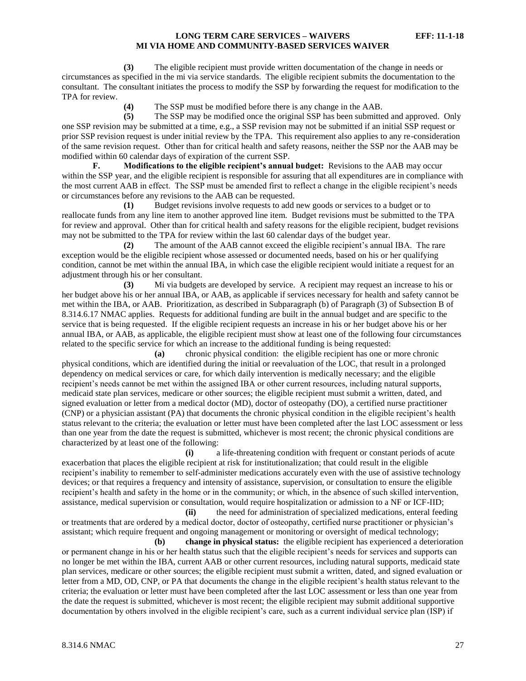**(3)** The eligible recipient must provide written documentation of the change in needs or circumstances as specified in the mi via service standards. The eligible recipient submits the documentation to the consultant. The consultant initiates the process to modify the SSP by forwarding the request for modification to the TPA for review.

**(4)** The SSP must be modified before there is any change in the AAB.

**(5)** The SSP may be modified once the original SSP has been submitted and approved. Only one SSP revision may be submitted at a time, e.g., a SSP revision may not be submitted if an initial SSP request or prior SSP revision request is under initial review by the TPA. This requirement also applies to any re-consideration of the same revision request. Other than for critical health and safety reasons, neither the SSP nor the AAB may be modified within 60 calendar days of expiration of the current SSP.

**F. Modifications to the eligible recipient's annual budget:** Revisions to the AAB may occur within the SSP year, and the eligible recipient is responsible for assuring that all expenditures are in compliance with the most current AAB in effect. The SSP must be amended first to reflect a change in the eligible recipient's needs or circumstances before any revisions to the AAB can be requested.

**(1)** Budget revisions involve requests to add new goods or services to a budget or to reallocate funds from any line item to another approved line item. Budget revisions must be submitted to the TPA for review and approval. Other than for critical health and safety reasons for the eligible recipient, budget revisions may not be submitted to the TPA for review within the last 60 calendar days of the budget year.

**(2)** The amount of the AAB cannot exceed the eligible recipient's annual IBA. The rare exception would be the eligible recipient whose assessed or documented needs, based on his or her qualifying condition, cannot be met within the annual IBA, in which case the eligible recipient would initiate a request for an adjustment through his or her consultant.

**(3)** Mi via budgets are developed by service. A recipient may request an increase to his or her budget above his or her annual IBA, or AAB, as applicable if services necessary for health and safety cannot be met within the IBA, or AAB. Prioritization, as described in Subparagraph (b) of Paragraph (3) of Subsection B of 8.314.6.17 NMAC applies. Requests for additional funding are built in the annual budget and are specific to the service that is being requested. If the eligible recipient requests an increase in his or her budget above his or her annual IBA, or AAB, as applicable, the eligible recipient must show at least one of the following four circumstances related to the specific service for which an increase to the additional funding is being requested:

**(a)** chronic physical condition: the eligible recipient has one or more chronic physical conditions, which are identified during the initial or reevaluation of the LOC, that result in a prolonged dependency on medical services or care, for which daily intervention is medically necessary; and the eligible recipient's needs cannot be met within the assigned IBA or other current resources, including natural supports, medicaid state plan services, medicare or other sources; the eligible recipient must submit a written, dated, and signed evaluation or letter from a medical doctor (MD), doctor of osteopathy (DO), a certified nurse practitioner (CNP) or a physician assistant (PA) that documents the chronic physical condition in the eligible recipient's health status relevant to the criteria; the evaluation or letter must have been completed after the last LOC assessment or less than one year from the date the request is submitted, whichever is most recent; the chronic physical conditions are characterized by at least one of the following:

**(i)** a life-threatening condition with frequent or constant periods of acute exacerbation that places the eligible recipient at risk for institutionalization; that could result in the eligible recipient's inability to remember to self-administer medications accurately even with the use of assistive technology devices; or that requires a frequency and intensity of assistance, supervision, or consultation to ensure the eligible recipient's health and safety in the home or in the community; or which, in the absence of such skilled intervention, assistance, medical supervision or consultation, would require hospitalization or admission to a NF or ICF-IID;

**(ii)** the need for administration of specialized medications, enteral feeding or treatments that are ordered by a medical doctor, doctor of osteopathy, certified nurse practitioner or physician's assistant; which require frequent and ongoing management or monitoring or oversight of medical technology;

**(b) change in physical status:** the eligible recipient has experienced a deterioration or permanent change in his or her health status such that the eligible recipient's needs for services and supports can no longer be met within the IBA, current AAB or other current resources, including natural supports, medicaid state plan services, medicare or other sources; the eligible recipient must submit a written, dated, and signed evaluation or letter from a MD, OD, CNP, or PA that documents the change in the eligible recipient's health status relevant to the criteria; the evaluation or letter must have been completed after the last LOC assessment or less than one year from the date the request is submitted, whichever is most recent; the eligible recipient may submit additional supportive documentation by others involved in the eligible recipient's care, such as a current individual service plan (ISP) if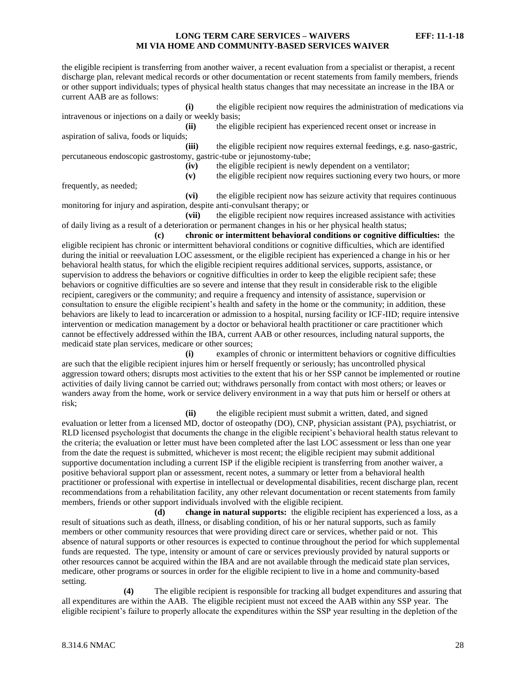the eligible recipient is transferring from another waiver, a recent evaluation from a specialist or therapist, a recent discharge plan, relevant medical records or other documentation or recent statements from family members, friends or other support individuals; types of physical health status changes that may necessitate an increase in the IBA or current AAB are as follows:

**(i)** the eligible recipient now requires the administration of medications via intravenous or injections on a daily or weekly basis;

aspiration of saliva, foods or liquids;

**(ii)** the eligible recipient has experienced recent onset or increase in **(iii)** the eligible recipient now requires external feedings, e.g. naso-gastric,

percutaneous endoscopic gastrostomy, gastric-tube or jejunostomy-tube;

**(iv)** the eligible recipient is newly dependent on a ventilator;

**(v)** the eligible recipient now requires suctioning every two hours, or more

frequently, as needed;

**(vi)** the eligible recipient now has seizure activity that requires continuous monitoring for injury and aspiration, despite anti-convulsant therapy; or

**(vii)** the eligible recipient now requires increased assistance with activities of daily living as a result of a deterioration or permanent changes in his or her physical health status;

**(c) chronic or intermittent behavioral conditions or cognitive difficulties:** the eligible recipient has chronic or intermittent behavioral conditions or cognitive difficulties, which are identified during the initial or reevaluation LOC assessment, or the eligible recipient has experienced a change in his or her behavioral health status, for which the eligible recipient requires additional services, supports, assistance, or supervision to address the behaviors or cognitive difficulties in order to keep the eligible recipient safe; these behaviors or cognitive difficulties are so severe and intense that they result in considerable risk to the eligible recipient, caregivers or the community; and require a frequency and intensity of assistance, supervision or consultation to ensure the eligible recipient's health and safety in the home or the community; in addition, these behaviors are likely to lead to incarceration or admission to a hospital, nursing facility or ICF-IID; require intensive intervention or medication management by a doctor or behavioral health practitioner or care practitioner which cannot be effectively addressed within the IBA, current AAB or other resources, including natural supports, the medicaid state plan services, medicare or other sources;

**(i)** examples of chronic or intermittent behaviors or cognitive difficulties are such that the eligible recipient injures him or herself frequently or seriously; has uncontrolled physical aggression toward others; disrupts most activities to the extent that his or her SSP cannot be implemented or routine activities of daily living cannot be carried out; withdraws personally from contact with most others; or leaves or wanders away from the home, work or service delivery environment in a way that puts him or herself or others at risk;

**(ii)** the eligible recipient must submit a written, dated, and signed evaluation or letter from a licensed MD, doctor of osteopathy (DO), CNP, physician assistant (PA), psychiatrist, or RLD licensed psychologist that documents the change in the eligible recipient's behavioral health status relevant to the criteria; the evaluation or letter must have been completed after the last LOC assessment or less than one year from the date the request is submitted, whichever is most recent; the eligible recipient may submit additional supportive documentation including a current ISP if the eligible recipient is transferring from another waiver, a positive behavioral support plan or assessment, recent notes, a summary or letter from a behavioral health practitioner or professional with expertise in intellectual or developmental disabilities, recent discharge plan, recent recommendations from a rehabilitation facility, any other relevant documentation or recent statements from family members, friends or other support individuals involved with the eligible recipient.

**(d) change in natural supports:** the eligible recipient has experienced a loss, as a result of situations such as death, illness, or disabling condition, of his or her natural supports, such as family members or other community resources that were providing direct care or services, whether paid or not. This absence of natural supports or other resources is expected to continue throughout the period for which supplemental funds are requested. The type, intensity or amount of care or services previously provided by natural supports or other resources cannot be acquired within the IBA and are not available through the medicaid state plan services, medicare, other programs or sources in order for the eligible recipient to live in a home and community-based setting.

**(4)** The eligible recipient is responsible for tracking all budget expenditures and assuring that all expenditures are within the AAB. The eligible recipient must not exceed the AAB within any SSP year. The eligible recipient's failure to properly allocate the expenditures within the SSP year resulting in the depletion of the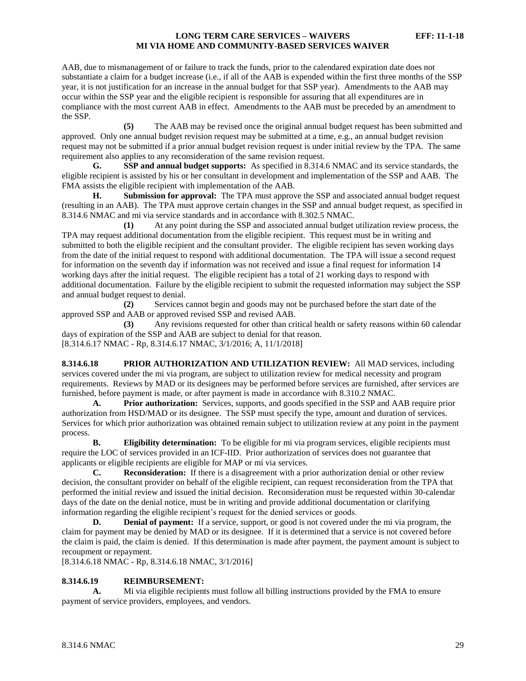AAB, due to mismanagement of or failure to track the funds, prior to the calendared expiration date does not substantiate a claim for a budget increase (i.e., if all of the AAB is expended within the first three months of the SSP year, it is not justification for an increase in the annual budget for that SSP year). Amendments to the AAB may occur within the SSP year and the eligible recipient is responsible for assuring that all expenditures are in compliance with the most current AAB in effect. Amendments to the AAB must be preceded by an amendment to the SSP.

**(5)** The AAB may be revised once the original annual budget request has been submitted and approved. Only one annual budget revision request may be submitted at a time, e.g., an annual budget revision request may not be submitted if a prior annual budget revision request is under initial review by the TPA. The same requirement also applies to any reconsideration of the same revision request.

**G. SSP and annual budget supports:** As specified in 8.314.6 NMAC and its service standards, the eligible recipient is assisted by his or her consultant in development and implementation of the SSP and AAB. The FMA assists the eligible recipient with implementation of the AAB.

**H. Submission for approval:** The TPA must approve the SSP and associated annual budget request (resulting in an AAB). The TPA must approve certain changes in the SSP and annual budget request, as specified in 8.314.6 NMAC and mi via service standards and in accordance with 8.302.5 NMAC*.*

**(1)** At any point during the SSP and associated annual budget utilization review process, the TPA may request additional documentation from the eligible recipient. This request must be in writing and submitted to both the eligible recipient and the consultant provider. The eligible recipient has seven working days from the date of the initial request to respond with additional documentation. The TPA will issue a second request for information on the seventh day if information was not received and issue a final request for information 14 working days after the initial request. The eligible recipient has a total of 21 working days to respond with additional documentation. Failure by the eligible recipient to submit the requested information may subject the SSP and annual budget request to denial.

**(2)** Services cannot begin and goods may not be purchased before the start date of the approved SSP and AAB or approved revised SSP and revised AAB.

**(3)** Any revisions requested for other than critical health or safety reasons within 60 calendar days of expiration of the SSP and AAB are subject to denial for that reason. [8.314.6.17 NMAC - Rp, 8.314.6.17 NMAC, 3/1/2016; A, 11/1/2018]

<span id="page-29-0"></span>**8.314.6.18 PRIOR AUTHORIZATION AND UTILIZATION REVIEW:** All MAD services, including services covered under the mi via program, are subject to utilization review for medical necessity and program requirements. Reviews by MAD or its designees may be performed before services are furnished, after services are furnished, before payment is made, or after payment is made in accordance with 8.310.2 NMAC.

**A. Prior authorization:** Services, supports, and goods specified in the SSP and AAB require prior authorization from HSD/MAD or its designee. The SSP must specify the type, amount and duration of services. Services for which prior authorization was obtained remain subject to utilization review at any point in the payment process.

**B. Eligibility determination:** To be eligible for mi via program services, eligible recipients must require the LOC of services provided in an ICF-IID. Prior authorization of services does not guarantee that applicants or eligible recipients are eligible for MAP or mi via services.

**C. Reconsideration:** If there is a disagreement with a prior authorization denial or other review decision, the consultant provider on behalf of the eligible recipient, can request reconsideration from the TPA that performed the initial review and issued the initial decision. Reconsideration must be requested within 30-calendar days of the date on the denial notice, must be in writing and provide additional documentation or clarifying information regarding the eligible recipient's request for the denied services or goods.

**D. Denial of payment:** If a service, support, or good is not covered under the mi via program, the claim for payment may be denied by MAD or its designee. If it is determined that a service is not covered before the claim is paid, the claim is denied. If this determination is made after payment, the payment amount is subject to recoupment or repayment.

[8.314.6.18 NMAC - Rp, 8.314.6.18 NMAC, 3/1/2016]

#### <span id="page-29-1"></span>**8.314.6.19 REIMBURSEMENT:**

**A.** Mi via eligible recipients must follow all billing instructions provided by the FMA to ensure payment of service providers, employees, and vendors.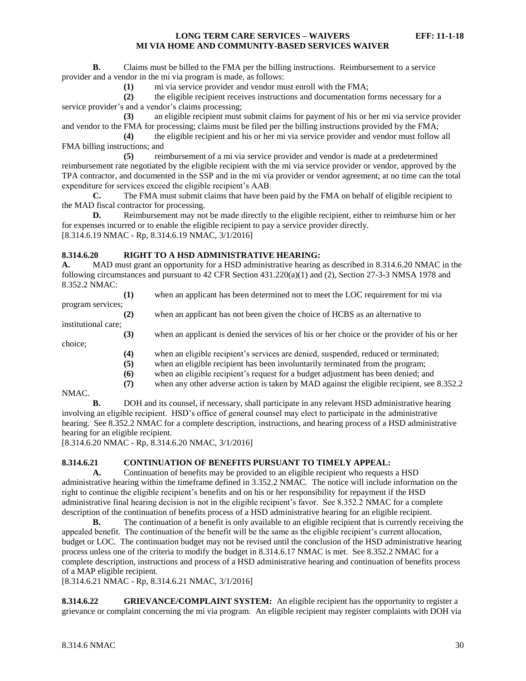**B.** Claims must be billed to the FMA per the billing instructions. Reimbursement to a service provider and a vendor in the mi via program is made, as follows:

**(1)** mi via service provider and vendor must enroll with the FMA;

**(2)** the eligible recipient receives instructions and documentation forms necessary for a service provider's and a vendor's claims processing;

**(3)** an eligible recipient must submit claims for payment of his or her mi via service provider and vendor to the FMA for processing; claims must be filed per the billing instructions provided by the FMA;

**(4)** the eligible recipient and his or her mi via service provider and vendor must follow all FMA billing instructions; and

**(5)** reimbursement of a mi via service provider and vendor is made at a predetermined reimbursement rate negotiated by the eligible recipient with the mi via service provider or vendor, approved by the TPA contractor, and documented in the SSP and in the mi via provider or vendor agreement; at no time can the total expenditure for services exceed the eligible recipient's AAB.

**C.** The FMA must submit claims that have been paid by the FMA on behalf of eligible recipient to the MAD fiscal contractor for processing.

**D.** Reimbursement may not be made directly to the eligible recipient, either to reimburse him or her for expenses incurred or to enable the eligible recipient to pay a service provider directly. [8.314.6.19 NMAC - Rp, 8.314.6.19 NMAC, 3/1/2016]

# <span id="page-30-0"></span>**8.314.6.20 RIGHT TO A HSD ADMINISTRATIVE HEARING:**

**A.** MAD must grant an opportunity for a HSD administrative hearing as described in 8.314.6.20 NMAC in the following circumstances and pursuant to 42 CFR Section 431.220(a)(1) and (2), Section 27-3-3 NMSA 1978 and 8.352.2 NMAC:

|                     | (1) | when an applicant has been determined not to meet the LOC requirement for mi via            |
|---------------------|-----|---------------------------------------------------------------------------------------------|
| program services;   |     |                                                                                             |
|                     | (2) | when an applicant has not been given the choice of HCBS as an alternative to                |
| institutional care; |     |                                                                                             |
|                     | (3) | when an applicant is denied the services of his or her choice or the provider of his or her |
| choice;             |     |                                                                                             |
|                     | (4) | when an eligible recipient's services are denied, suspended, reduced or terminated;         |
|                     | (5) | when an eligible recipient has been involuntarily terminated from the program;              |
|                     | 66) | when an eligible recipient's request for a budget adjustment has been denied; and           |

**(6)** when an eligible recipient's request for a budget adjustment has been denied; and **(7)** when any other adverse action is taken by MAD against the eligible recipient, see 8.352.2

#### NMAC.

**B.** DOH and its counsel, if necessary, shall participate in any relevant HSD administrative hearing involving an eligible recipient. HSD's office of general counsel may elect to participate in the administrative hearing. See 8.352.2 NMAC for a complete description, instructions, and hearing process of a HSD administrative hearing for an eligible recipient.

[8.314.6.20 NMAC - Rp, 8.314.6.20 NMAC, 3/1/2016]

#### <span id="page-30-1"></span>**8.314.6.21 CONTINUATION OF BENEFITS PURSUANT TO TIMELY APPEAL:**

**A.** Continuation of benefits may be provided to an eligible recipient who requests a HSD administrative hearing within the timeframe defined in 3.352.2 NMAC. The notice will include information on the right to continue the eligible recipient's benefits and on his or her responsibility for repayment if the HSD administrative final hearing decision is not in the eligible recipient's favor. See 8.352.2 NMAC for a complete description of the continuation of benefits process of a HSD administrative hearing for an eligible recipient.

**B.** The continuation of a benefit is only available to an eligible recipient that is currently receiving the appealed benefit. The continuation of the benefit will be the same as the eligible recipient's current allocation, budget or LOC. The continuation budget may not be revised until the conclusion of the HSD administrative hearing process unless one of the criteria to modify the budget in 8.314.6.17 NMAC is met. See 8.352.2 NMAC for a complete description, instructions and process of a HSD administrative hearing and continuation of benefits process of a MAP eligible recipient.

[8.314.6.21 NMAC - Rp, 8.314.6.21 NMAC, 3/1/2016]

<span id="page-30-2"></span>**8.314.6.22 GRIEVANCE/COMPLAINT SYSTEM:** An eligible recipient has the opportunity to register a grievance or complaint concerning the mi via program. An eligible recipient may register complaints with DOH via